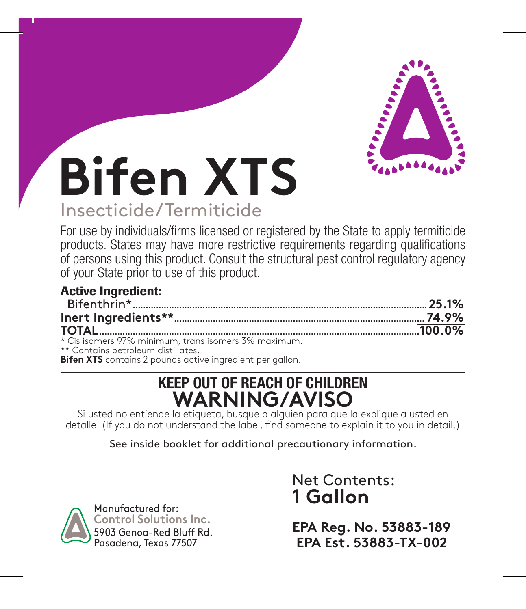

# **Bifen XTS** Insecticide/Termiticide

For use by individuals/firms licensed or registered by the State to apply termiticide products. States may have more restrictive requirements regarding qualifications of persons using this product. Consult the structural pest control regulatory agency of your State prior to use of this product.

| <b>Active Ingredient:</b>                          |  |
|----------------------------------------------------|--|
|                                                    |  |
|                                                    |  |
|                                                    |  |
| * Cis isomers 97% minimum trans isomers 3% maximum |  |

\* Cis isomers 97% minimum, trans isomers 3% maximum. \*\* Contains petroleum distillates. **Bifen XTS** contains 2 pounds active ingredient per gallon.

# **KEEP OUT OF REACH OF CHILDREN WARNING/AVISO**

Si usted no entiende la etiqueta, busque a alguien para que la explique a usted en detalle. (If you do not understand the label, find someone to explain it to you in detail.)

See inside booklet for additional precautionary information.



Net Contents: **1 Gallon**

**EPA Reg. No. 53883-189 EPA Est. 53883-TX-002**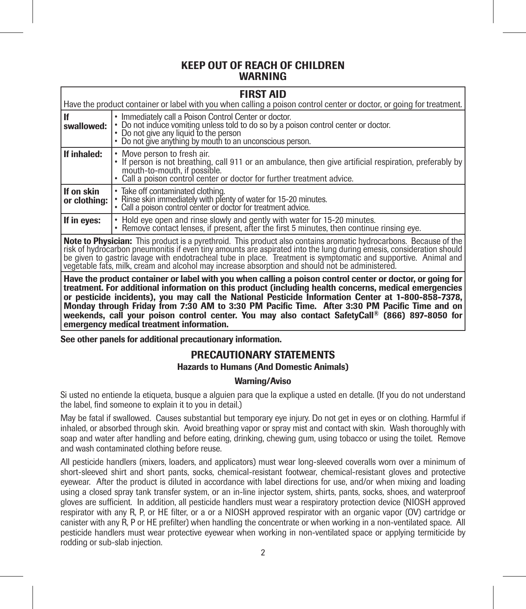# KEEP OUT OF REACH OF CHILDREN WARNING

# FIRST AID

|                            | .                                                                                                                                                                                                                                                   |
|----------------------------|-----------------------------------------------------------------------------------------------------------------------------------------------------------------------------------------------------------------------------------------------------|
|                            | Have the product container or label with you when calling a poison control center or doctor, or going for treatment.                                                                                                                                |
| l If<br>swallowed: I       | • Immediately call a Poison Control Center or doctor.<br>• Do not induce vomiting unless told to do so by a poison control center or doctor.<br>• Do not give any liquid to the person<br>• Do not give anything by mouth to an unconscious person. |
| If inhaled:                | • Move person to fresh air.<br>• If person is not breathing, call 911 or an ambulance, then give artificial respiration, preferably by<br>mouth-to-mouth, if possible.<br>• Call a poison control center or doctor for further treatment advice.    |
| If on skin<br>or clothina: | • Take off contaminated clothing.<br>• Rinse skin immediately with plenty of water for 15-20 minutes.<br>• Call a poison control center or doctor for treatment advice.                                                                             |
| If in eyes:                | • Hold eye open and rinse slowly and gently with water for 15-20 minutes.<br>• Remove contact lenses, if present, after the first 5 minutes, then continue rinsing eye.                                                                             |

Note to Physician: This product is a pyrethroid. This product also contains aromatic hydrocarbons. Because of the<br>risk of hydrocarbon pneumonitis if even tiny amounts are aspirated into the lung during emesis, consideratio be given to gastric lavage with endotracheal tube in place. Treatment is symptomatic and supportive. Animal and vegetable fats, milk, cream and alcohol may increase absorption and should not be administered.

Have the product container or label with you when calling a poison control center or doctor, or going for treatment. For additional information on this product (including health concerns, medical emergencies or pesticide incidents), you may call the National Pesticide Information Center at 1-800-858-7378, Monday through Friday from 7:30 AM to 3:30 PM Pacific Time. After 3:30 PM Pacific Time and on weekends, call your poison control center. You may also contact SafetyCall® (866) 897-8050 for emergency medical treatment information.

See other panels for additional precautionary information.

# PRECAUTIONARY STATEMENTS

# Hazards to Humans (And Domestic Animals)

# Warning/Aviso

Si usted no entiende la etiqueta, busque a alguien para que la explique a usted en detalle. (If you do not understand the label, find someone to explain it to you in detail.)

May be fatal if swallowed. Causes substantial but temporary eye injury. Do not get in eyes or on clothing. Harmful if inhaled, or absorbed through skin. Avoid breathing vapor or spray mist and contact with skin. Wash thoroughly with soap and water after handling and before eating, drinking, chewing gum, using tobacco or using the toilet. Remove and wash contaminated clothing before reuse.

All pesticide handlers (mixers, loaders, and applicators) must wear long-sleeved coveralls worn over a minimum of short-sleeved shirt and short pants, socks, chemical-resistant footwear, chemical-resistant gloves and protective eyewear. After the product is diluted in accordance with label directions for use, and/or when mixing and loading using a closed spray tank transfer system, or an in-line injector system, shirts, pants, socks, shoes, and waterproof gloves are sufficient. In addition, all pesticide handlers must wear a respiratory protection device (NIOSH approved respirator with any R, P, or HE filter, or a or a NIOSH approved respirator with an organic vapor (OV) cartridge or canister with any R, P or HE prefilter) when handling the concentrate or when working in a non-ventilated space. All pesticide handlers must wear protective eyewear when working in non-ventilated space or applying termiticide by rodding or sub-slab injection.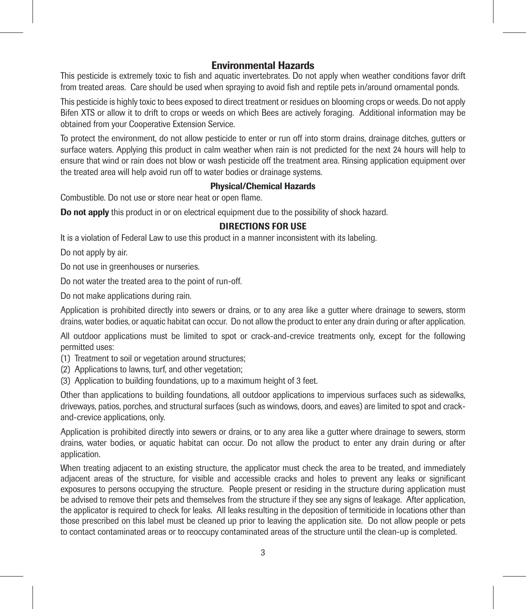# Environmental Hazards

This pesticide is extremely toxic to fish and aquatic invertebrates. Do not apply when weather conditions favor drift from treated areas. Care should be used when spraying to avoid fish and reptile pets in/around ornamental ponds.

This pesticide is highly toxic to bees exposed to direct treatment or residues on blooming crops or weeds. Do not apply Bifen XTS or allow it to drift to crops or weeds on which Bees are actively foraging. Additional information may be obtained from your Cooperative Extension Service.

To protect the environment, do not allow pesticide to enter or run off into storm drains, drainage ditches, gutters or surface waters. Applying this product in calm weather when rain is not predicted for the next 24 hours will help to ensure that wind or rain does not blow or wash pesticide off the treatment area. Rinsing application equipment over the treated area will help avoid run off to water bodies or drainage systems.

# Physical/Chemical Hazards

Combustible. Do not use or store near heat or open flame.

Do not apply this product in or on electrical equipment due to the possibility of shock hazard.

# DIRECTIONS FOR USE

It is a violation of Federal Law to use this product in a manner inconsistent with its labeling.

Do not apply by air.

Do not use in greenhouses or nurseries.

Do not water the treated area to the point of run-off.

Do not make applications during rain.

Application is prohibited directly into sewers or drains, or to any area like a gutter where drainage to sewers, storm drains, water bodies, or aquatic habitat can occur. Do not allow the product to enter any drain during or after application.

All outdoor applications must be limited to spot or crack-and-crevice treatments only, except for the following permitted uses:

(1) Treatment to soil or vegetation around structures;

- (2) Applications to lawns, turf, and other vegetation;
- (3) Application to building foundations, up to a maximum height of 3 feet.

Other than applications to building foundations, all outdoor applications to impervious surfaces such as sidewalks, driveways, patios, porches, and structural surfaces (such as windows, doors, and eaves) are limited to spot and crackand-crevice applications, only.

Application is prohibited directly into sewers or drains, or to any area like a gutter where drainage to sewers, storm drains, water bodies, or aquatic habitat can occur. Do not allow the product to enter any drain during or after application.

When treating adjacent to an existing structure, the applicator must check the area to be treated, and immediately adjacent areas of the structure, for visible and accessible cracks and holes to prevent any leaks or significant exposures to persons occupying the structure. People present or residing in the structure during application must be advised to remove their pets and themselves from the structure if they see any signs of leakage. After application, the applicator is required to check for leaks. All leaks resulting in the deposition of termiticide in locations other than those prescribed on this label must be cleaned up prior to leaving the application site. Do not allow people or pets to contact contaminated areas or to reoccupy contaminated areas of the structure until the clean-up is completed.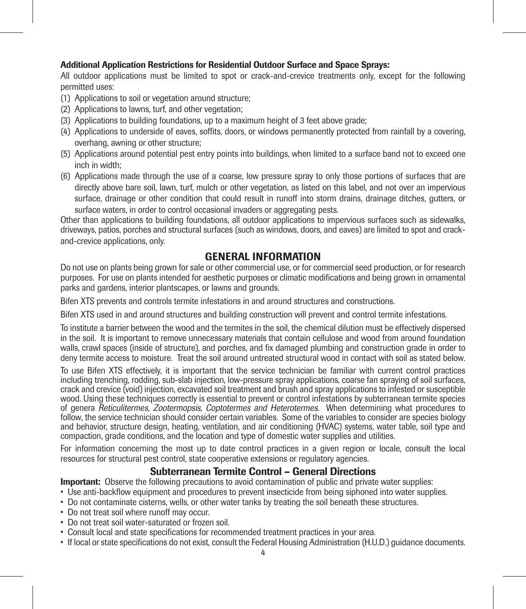# Additional Application Restrictions for Residential Outdoor Surface and Space Sprays:

All outdoor applications must be limited to spot or crack-and-crevice treatments only, except for the following permitted uses:

- (1) Applications to soil or vegetation around structure;
- (2) Applications to lawns, turf, and other vegetation;
- (3) Applications to building foundations, up to a maximum height of 3 feet above grade;
- (4) Applications to underside of eaves, soffits, doors, or windows permanently protected from rainfall by a covering, overhang, awning or other structure;
- (5) Applications around potential pest entry points into buildings, when limited to a surface band not to exceed one inch in width;
- (6) Applications made through the use of a coarse, low pressure spray to only those portions of surfaces that are directly above bare soil, lawn, turf, mulch or other vegetation, as listed on this label, and not over an impervious surface, drainage or other condition that could result in runoff into storm drains, drainage ditches, gutters, or surface waters, in order to control occasional invaders or aggregating pests.

Other than applications to building foundations, all outdoor applications to impervious surfaces such as sidewalks, driveways, patios, porches and structural surfaces (such as windows, doors, and eaves) are limited to spot and crackand-crevice applications, only.

# GENERAL INFORMATION

Do not use on plants being grown for sale or other commercial use, or for commercial seed production, or for research purposes. For use on plants intended for aesthetic purposes or climatic modifications and being grown in ornamental parks and gardens, interior plantscapes, or lawns and grounds.

Bifen XTS prevents and controls termite infestations in and around structures and constructions.

Bifen XTS used in and around structures and building construction will prevent and control termite infestations.

To institute a barrier between the wood and the termites in the soil, the chemical dilution must be effectively dispersed in the soil. It is important to remove unnecessary materials that contain cellulose and wood from around foundation walls, crawl spaces (inside of structure), and porches, and fix damaged plumbing and construction grade in order to deny termite access to moisture. Treat the soil around untreated structural wood in contact with soil as stated below.

To use Bifen XTS effectively, it is important that the service technician be familiar with current control practices including trenching, rodding, sub-slab injection, low-pressure spray applications, coarse fan spraying of soil surfaces, crack and crevice (void) injection, excavated soil treatment and brush and spray applications to infested or susceptible wood. Using these techniques correctly is essential to prevent or control infestations by subterranean termite species of genera Reticulitermes, Zootermopsis, Coptotermes and Heterotermes. When determining what procedures to follow, the service technician should consider certain variables. Some of the variables to consider are species biology and behavior, structure design, heating, ventilation, and air conditioning (HVAC) systems, water table, soil type and compaction, grade conditions, and the location and type of domestic water supplies and utilities.

For information concerning the most up to date control practices in a given region or locale, consult the local resources for structural pest control, state cooperative extensions or regulatory agencies.

# Subterranean Termite Control – General Directions

Important: Observe the following precautions to avoid contamination of public and private water supplies:

- Use anti-backflow equipment and procedures to prevent insecticide from being siphoned into water supplies.
- Do not contaminate cisterns, wells, or other water tanks by treating the soil beneath these structures.
- Do not treat soil where runoff may occur.
- Do not treat soil water-saturated or frozen soil.
- Consult local and state specifications for recommended treatment practices in your area.
- If local or state specifications do not exist, consult the Federal Housing Administration (H.U.D.) guidance documents.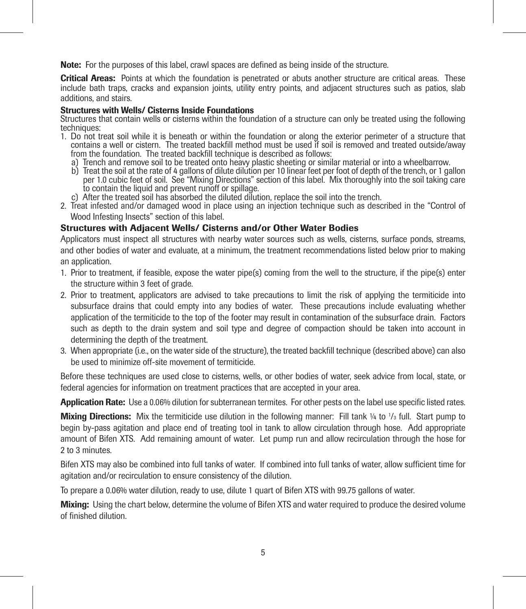Note: For the purposes of this label, crawl spaces are defined as being inside of the structure.

Critical Areas: Points at which the foundation is penetrated or abuts another structure are critical areas. These include bath traps, cracks and expansion joints, utility entry points, and adjacent structures such as patios, slab additions, and stairs.

#### Structures with Wells/ Cisterns Inside Foundations

Structures that contain wells or cisterns within the foundation of a structure can only be treated using the following techniques:

- 1. Do not treat soil while it is beneath or within the foundation or along the exterior perimeter of a structure that contains a well or cistern. The treated backfill method must be used if soil is removed and treated outside/away from the foundation. The treated backfill technique is described as follows:
	- a) Trench and remove soil to be treated onto heavy plastic sheeting or similar material or into a wheelbarrow.
	- b) Treat the soil at the rate of 4 gallons of dilute dilution per 10 linear feet per foot of depth of the trench, or 1 gallon per 1.0 cubic feet of soil. See "Mixing Directions" section of this label. Mix thoroughly into the soil taking care to contain the liquid and prevent runoff or spillage.
	- c) After the treated soil has absorbed the diluted dilution, replace the soil into the trench.
- 2. Treat infested and/or damaged wood in place using an injection technique such as described in the "Control of Wood Infesting Insects" section of this label.

# Structures with Adjacent Wells/ Cisterns and/or Other Water Bodies

Applicators must inspect all structures with nearby water sources such as wells, cisterns, surface ponds, streams, and other bodies of water and evaluate, at a minimum, the treatment recommendations listed below prior to making an application.

- 1. Prior to treatment, if feasible, expose the water pipe(s) coming from the well to the structure, if the pipe(s) enter the structure within 3 feet of grade.
- 2. Prior to treatment, applicators are advised to take precautions to limit the risk of applying the termiticide into subsurface drains that could empty into any bodies of water. These precautions include evaluating whether application of the termiticide to the top of the footer may result in contamination of the subsurface drain. Factors such as depth to the drain system and soil type and degree of compaction should be taken into account in determining the depth of the treatment.
- 3. When appropriate (i.e., on the water side of the structure), the treated backfill technique (described above) can also be used to minimize off-site movement of termiticide.

Before these techniques are used close to cisterns, wells, or other bodies of water, seek advice from local, state, or federal agencies for information on treatment practices that are accepted in your area.

Application Rate: Use a 0.06% dilution for subterranean termites. For other pests on the label use specific listed rates.

**Mixing Directions:** Mix the termiticide use dilution in the following manner: Fill tank ¼ to 1/3 full. Start pump to begin by-pass agitation and place end of treating tool in tank to allow circulation through hose. Add appropriate amount of Bifen XTS. Add remaining amount of water. Let pump run and allow recirculation through the hose for 2 to 3 minutes.

Bifen XTS may also be combined into full tanks of water. If combined into full tanks of water, allow sufficient time for agitation and/or recirculation to ensure consistency of the dilution.

To prepare a 0.06% water dilution, ready to use, dilute 1 quart of Bifen XTS with 99.75 gallons of water.

Mixing: Using the chart below, determine the volume of Bifen XTS and water required to produce the desired volume of finished dilution.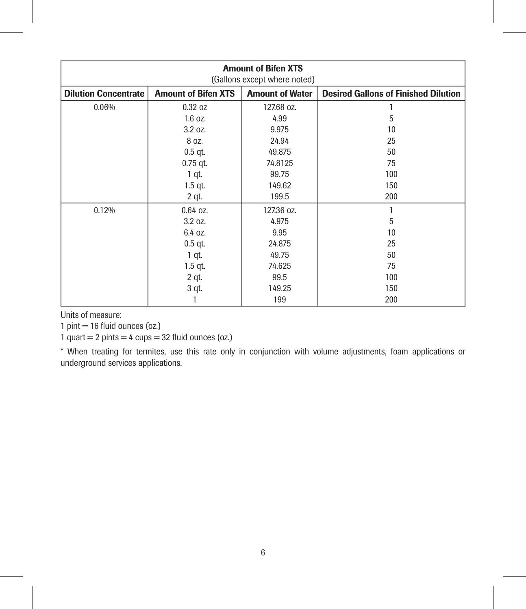| <b>Amount of Bifen XTS</b><br>(Gallons except where noted) |                                                                                                     |            |     |  |  |
|------------------------------------------------------------|-----------------------------------------------------------------------------------------------------|------------|-----|--|--|
| <b>Dilution Concentrate</b>                                | <b>Amount of Bifen XTS</b><br><b>Amount of Water</b><br><b>Desired Gallons of Finished Dilution</b> |            |     |  |  |
| 0.06%                                                      | 0.32 oz                                                                                             | 127.68 oz. |     |  |  |
|                                                            | $1.6$ oz.                                                                                           | 4.99       | 5   |  |  |
|                                                            | 3.2 oz.                                                                                             | 9.975      | 10  |  |  |
|                                                            | 8 oz.                                                                                               | 24.94      | 25  |  |  |
|                                                            | $0.5$ qt.                                                                                           | 49.875     | 50  |  |  |
|                                                            | $0.75$ qt.                                                                                          | 74.8125    | 75  |  |  |
|                                                            | 1 qt.                                                                                               | 99.75      | 100 |  |  |
|                                                            | $1.5$ qt.                                                                                           | 149.62     | 150 |  |  |
|                                                            | 2 qt.                                                                                               | 199.5      | 200 |  |  |
| 0.12%                                                      | $0.64$ oz.                                                                                          | 127.36 oz. |     |  |  |
|                                                            | 3.2 oz.                                                                                             | 4.975      | 5   |  |  |
|                                                            | 6.4 oz.                                                                                             | 9.95       | 10  |  |  |
|                                                            | $0.5$ qt.                                                                                           | 24.875     | 25  |  |  |
|                                                            | 1 qt.                                                                                               | 49.75      | 50  |  |  |
|                                                            | $1.5$ qt.                                                                                           | 74.625     | 75  |  |  |
|                                                            | $2$ qt.                                                                                             | 99.5       | 100 |  |  |
|                                                            | 3 qt.                                                                                               | 149.25     | 150 |  |  |
|                                                            |                                                                                                     | 199        | 200 |  |  |

Units of measure:

 $1$  pint  $= 16$  fluid ounces (oz.)

 $1$  quart = 2 pints = 4 cups = 32 fluid ounces (oz.)

\* When treating for termites, use this rate only in conjunction with volume adjustments, foam applications or underground services applications.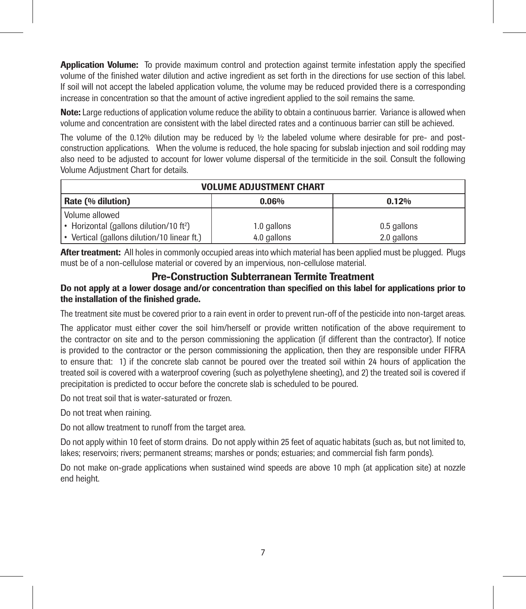Application Volume: To provide maximum control and protection against termite infestation apply the specified volume of the finished water dilution and active ingredient as set forth in the directions for use section of this label. If soil will not accept the labeled application volume, the volume may be reduced provided there is a corresponding increase in concentration so that the amount of active ingredient applied to the soil remains the same.

Note: Large reductions of application volume reduce the ability to obtain a continuous barrier. Variance is allowed when volume and concentration are consistent with the label directed rates and a continuous barrier can still be achieved.

The volume of the 0.12% dilution may be reduced by  $\frac{1}{2}$  the labeled volume where desirable for pre- and postconstruction applications. When the volume is reduced, the hole spacing for subslab injection and soil rodding may also need to be adjusted to account for lower volume dispersal of the termiticide in the soil. Consult the following Volume Adjustment Chart for details.

| <b>VOLUME ADJUSTMENT CHART</b>                                                    |             |             |  |  |
|-----------------------------------------------------------------------------------|-------------|-------------|--|--|
| Rate (% dilution)                                                                 | 0.06%       | 0.12%       |  |  |
| Volume allowed                                                                    |             |             |  |  |
| • Horizontal (gallons dilution/10 ft <sup>2</sup> )<br>1.0 gallons<br>0.5 gallons |             |             |  |  |
| • Vertical (gallons dilution/10 linear ft.)                                       | 4.0 gallons | 2.0 gallons |  |  |

After treatment: All holes in commonly occupied areas into which material has been applied must be plugged. Plugs must be of a non-cellulose material or covered by an impervious, non-cellulose material.

# Pre-Construction Subterranean Termite Treatment

# Do not apply at a lower dosage and/or concentration than specified on this label for applications prior to the installation of the finished grade.

The treatment site must be covered prior to a rain event in order to prevent run-off of the pesticide into non-target areas.

The applicator must either cover the soil him/herself or provide written notification of the above requirement to the contractor on site and to the person commissioning the application (if different than the contractor). If notice is provided to the contractor or the person commissioning the application, then they are responsible under FIFRA to ensure that: 1) if the concrete slab cannot be poured over the treated soil within 24 hours of application the treated soil is covered with a waterproof covering (such as polyethylene sheeting), and 2) the treated soil is covered if precipitation is predicted to occur before the concrete slab is scheduled to be poured.

Do not treat soil that is water-saturated or frozen.

Do not treat when raining.

Do not allow treatment to runoff from the target area.

Do not apply within 10 feet of storm drains. Do not apply within 25 feet of aquatic habitats (such as, but not limited to, lakes; reservoirs; rivers; permanent streams; marshes or ponds; estuaries; and commercial fish farm ponds).

Do not make on-grade applications when sustained wind speeds are above 10 mph (at application site) at nozzle end height.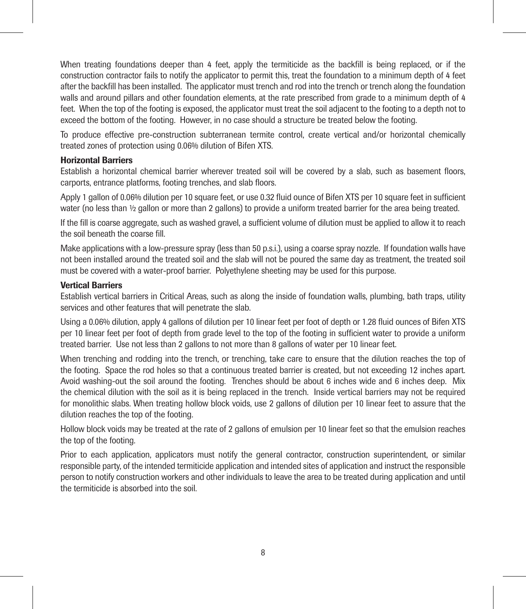When treating foundations deeper than 4 feet, apply the termiticide as the backfill is being replaced, or if the construction contractor fails to notify the applicator to permit this, treat the foundation to a minimum depth of 4 feet after the backfill has been installed. The applicator must trench and rod into the trench or trench along the foundation walls and around pillars and other foundation elements, at the rate prescribed from grade to a minimum depth of 4 feet. When the top of the footing is exposed, the applicator must treat the soil adjacent to the footing to a depth not to exceed the bottom of the footing. However, in no case should a structure be treated below the footing.

To produce effective pre-construction subterranean termite control, create vertical and/or horizontal chemically treated zones of protection using 0.06% dilution of Bifen XTS.

# Horizontal Barriers

Establish a horizontal chemical barrier wherever treated soil will be covered by a slab, such as basement floors, carports, entrance platforms, footing trenches, and slab floors.

Apply 1 gallon of 0.06% dilution per 10 square feet, or use 0.32 fluid ounce of Bifen XTS per 10 square feet in sufficient water (no less than  $\frac{1}{2}$  gallon or more than 2 gallons) to provide a uniform treated barrier for the area being treated.

If the fill is coarse aggregate, such as washed gravel, a sufficient volume of dilution must be applied to allow it to reach the soil beneath the coarse fill.

Make applications with a low-pressure spray (less than 50 p.s.i.), using a coarse spray nozzle. If foundation walls have not been installed around the treated soil and the slab will not be poured the same day as treatment, the treated soil must be covered with a water-proof barrier. Polyethylene sheeting may be used for this purpose.

# Vertical Barriers

Establish vertical barriers in Critical Areas, such as along the inside of foundation walls, plumbing, bath traps, utility services and other features that will penetrate the slab.

Using a 0.06% dilution, apply 4 gallons of dilution per 10 linear feet per foot of depth or 1.28 fluid ounces of Bifen XTS per 10 linear feet per foot of depth from grade level to the top of the footing in sufficient water to provide a uniform treated barrier. Use not less than 2 gallons to not more than 8 gallons of water per 10 linear feet.

When trenching and rodding into the trench, or trenching, take care to ensure that the dilution reaches the top of the footing. Space the rod holes so that a continuous treated barrier is created, but not exceeding 12 inches apart. Avoid washing-out the soil around the footing. Trenches should be about 6 inches wide and 6 inches deep. Mix the chemical dilution with the soil as it is being replaced in the trench. Inside vertical barriers may not be required for monolithic slabs. When treating hollow block voids, use 2 gallons of dilution per 10 linear feet to assure that the dilution reaches the top of the footing.

Hollow block voids may be treated at the rate of 2 gallons of emulsion per 10 linear feet so that the emulsion reaches the top of the footing.

Prior to each application, applicators must notify the general contractor, construction superintendent, or similar responsible party, of the intended termiticide application and intended sites of application and instruct the responsible person to notify construction workers and other individuals to leave the area to be treated during application and until the termiticide is absorbed into the soil.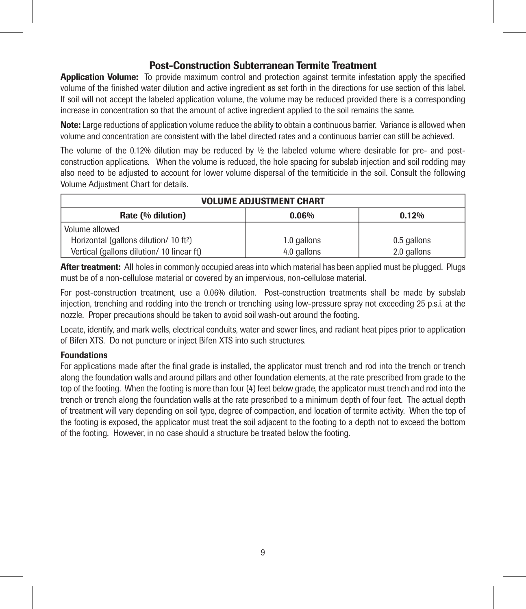# Post-Construction Subterranean Termite Treatment

**Application Volume:** To provide maximum control and protection against termite infestation apply the specified volume of the finished water dilution and active ingredient as set forth in the directions for use section of this label. If soil will not accept the labeled application volume, the volume may be reduced provided there is a corresponding increase in concentration so that the amount of active ingredient applied to the soil remains the same.

Note: Large reductions of application volume reduce the ability to obtain a continuous barrier. Variance is allowed when volume and concentration are consistent with the label directed rates and a continuous barrier can still be achieved.

The volume of the 0.12% dilution may be reduced by  $\frac{1}{2}$  the labeled volume where desirable for pre- and postconstruction applications. When the volume is reduced, the hole spacing for subslab injection and soil rodding may also need to be adjusted to account for lower volume dispersal of the termiticide in the soil. Consult the following Volume Adjustment Chart for details.

| <b>VOLUME ADJUSTMENT CHART</b>                                                   |  |  |  |
|----------------------------------------------------------------------------------|--|--|--|
| Rate (% dilution)<br>0.06%<br>0.12%                                              |  |  |  |
| Volume allowed                                                                   |  |  |  |
| Horizontal (gallons dilution/ 10 ft <sup>2</sup> )<br>1.0 gallons<br>0.5 gallons |  |  |  |
| 4.0 gallons<br>Vertical (gallons dilution/ 10 linear ft)<br>2.0 gallons          |  |  |  |

After treatment: All holes in commonly occupied areas into which material has been applied must be plugged. Plugs must be of a non-cellulose material or covered by an impervious, non-cellulose material.

For post-construction treatment, use a 0.06% dilution. Post-construction treatments shall be made by subslab injection, trenching and rodding into the trench or trenching using low-pressure spray not exceeding 25 p.s.i. at the nozzle. Proper precautions should be taken to avoid soil wash-out around the footing.

Locate, identify, and mark wells, electrical conduits, water and sewer lines, and radiant heat pipes prior to application of Bifen XTS. Do not puncture or inject Bifen XTS into such structures.

# Foundations

For applications made after the final grade is installed, the applicator must trench and rod into the trench or trench along the foundation walls and around pillars and other foundation elements, at the rate prescribed from grade to the top of the footing. When the footing is more than four (4) feet below grade, the applicator must trench and rod into the trench or trench along the foundation walls at the rate prescribed to a minimum depth of four feet. The actual depth of treatment will vary depending on soil type, degree of compaction, and location of termite activity. When the top of the footing is exposed, the applicator must treat the soil adjacent to the footing to a depth not to exceed the bottom of the footing. However, in no case should a structure be treated below the footing.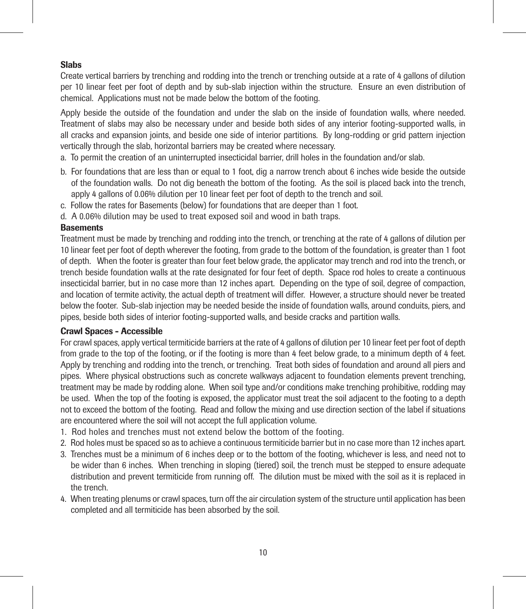# Slabs

Create vertical barriers by trenching and rodding into the trench or trenching outside at a rate of 4 gallons of dilution per 10 linear feet per foot of depth and by sub-slab injection within the structure. Ensure an even distribution of chemical. Applications must not be made below the bottom of the footing.

Apply beside the outside of the foundation and under the slab on the inside of foundation walls, where needed. Treatment of slabs may also be necessary under and beside both sides of any interior footing-supported walls, in all cracks and expansion joints, and beside one side of interior partitions. By long-rodding or grid pattern injection vertically through the slab, horizontal barriers may be created where necessary.

- a. To permit the creation of an uninterrupted insecticidal barrier, drill holes in the foundation and/or slab.
- b. For foundations that are less than or equal to 1 foot, dig a narrow trench about 6 inches wide beside the outside of the foundation walls. Do not dig beneath the bottom of the footing. As the soil is placed back into the trench, apply 4 gallons of 0.06% dilution per 10 linear feet per foot of depth to the trench and soil.
- c. Follow the rates for Basements (below) for foundations that are deeper than 1 foot.
- d. A 0.06% dilution may be used to treat exposed soil and wood in bath traps.

# **Basements**

Treatment must be made by trenching and rodding into the trench, or trenching at the rate of 4 gallons of dilution per 10 linear feet per foot of depth wherever the footing, from grade to the bottom of the foundation, is greater than 1 foot of depth. When the footer is greater than four feet below grade, the applicator may trench and rod into the trench, or trench beside foundation walls at the rate designated for four feet of depth. Space rod holes to create a continuous insecticidal barrier, but in no case more than 12 inches apart. Depending on the type of soil, degree of compaction, and location of termite activity, the actual depth of treatment will differ. However, a structure should never be treated below the footer. Sub-slab injection may be needed beside the inside of foundation walls, around conduits, piers, and pipes, beside both sides of interior footing-supported walls, and beside cracks and partition walls.

## Crawl Spaces - Accessible

For crawl spaces, apply vertical termiticide barriers at the rate of 4 gallons of dilution per 10 linear feet per foot of depth from grade to the top of the footing, or if the footing is more than 4 feet below grade, to a minimum depth of 4 feet. Apply by trenching and rodding into the trench, or trenching. Treat both sides of foundation and around all piers and pipes. Where physical obstructions such as concrete walkways adjacent to foundation elements prevent trenching, treatment may be made by rodding alone. When soil type and/or conditions make trenching prohibitive, rodding may be used. When the top of the footing is exposed, the applicator must treat the soil adjacent to the footing to a depth not to exceed the bottom of the footing. Read and follow the mixing and use direction section of the label if situations are encountered where the soil will not accept the full application volume.

- 1. Rod holes and trenches must not extend below the bottom of the footing.
- 2. Rod holes must be spaced so as to achieve a continuous termiticide barrier but in no case more than 12 inches apart.
- 3. Trenches must be a minimum of 6 inches deep or to the bottom of the footing, whichever is less, and need not to be wider than 6 inches. When trenching in sloping (tiered) soil, the trench must be stepped to ensure adequate distribution and prevent termiticide from running off. The dilution must be mixed with the soil as it is replaced in the trench.
- 4. When treating plenums or crawl spaces, turn off the air circulation system of the structure until application has been completed and all termiticide has been absorbed by the soil.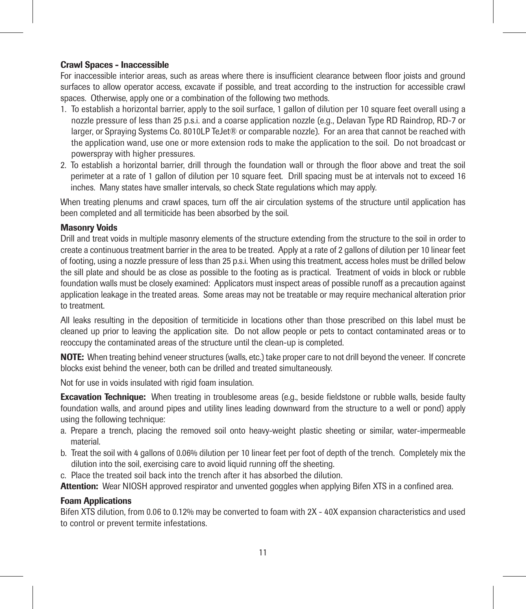# Crawl Spaces - Inaccessible

For inaccessible interior areas, such as areas where there is insufficient clearance between floor joists and ground surfaces to allow operator access, excavate if possible, and treat according to the instruction for accessible crawl spaces. Otherwise, apply one or a combination of the following two methods.

- 1. To establish a horizontal barrier, apply to the soil surface, 1 gallon of dilution per 10 square feet overall using a nozzle pressure of less than 25 p.s.i. and a coarse application nozzle (e.g., Delavan Type RD Raindrop, RD-7 or larger, or Spraying Systems Co. 8010LP TeJet® or comparable nozzle). For an area that cannot be reached with the application wand, use one or more extension rods to make the application to the soil. Do not broadcast or powerspray with higher pressures.
- 2. To establish a horizontal barrier, drill through the foundation wall or through the floor above and treat the soil perimeter at a rate of 1 gallon of dilution per 10 square feet. Drill spacing must be at intervals not to exceed 16 inches. Many states have smaller intervals, so check State regulations which may apply.

When treating plenums and crawl spaces, turn off the air circulation systems of the structure until application has been completed and all termiticide has been absorbed by the soil.

# Masonry Voids

Drill and treat voids in multiple masonry elements of the structure extending from the structure to the soil in order to create a continuous treatment barrier in the area to be treated. Apply at a rate of 2 gallons of dilution per 10 linear feet of footing, using a nozzle pressure of less than 25 p.s.i. When using this treatment, access holes must be drilled below the sill plate and should be as close as possible to the footing as is practical. Treatment of voids in block or rubble foundation walls must be closely examined: Applicators must inspect areas of possible runoff as a precaution against application leakage in the treated areas. Some areas may not be treatable or may require mechanical alteration prior to treatment.

All leaks resulting in the deposition of termiticide in locations other than those prescribed on this label must be cleaned up prior to leaving the application site. Do not allow people or pets to contact contaminated areas or to reoccupy the contaminated areas of the structure until the clean-up is completed.

NOTE: When treating behind veneer structures (walls, etc.) take proper care to not drill beyond the veneer. If concrete blocks exist behind the veneer, both can be drilled and treated simultaneously.

Not for use in voids insulated with rigid foam insulation.

**Excavation Technique:** When treating in troublesome areas (e.g., beside fieldstone or rubble walls, beside faulty foundation walls, and around pipes and utility lines leading downward from the structure to a well or pond) apply using the following technique:

- a. Prepare a trench, placing the removed soil onto heavy-weight plastic sheeting or similar, water-impermeable material.
- b. Treat the soil with 4 gallons of 0.06% dilution per 10 linear feet per foot of depth of the trench. Completely mix the dilution into the soil, exercising care to avoid liquid running off the sheeting.
- c. Place the treated soil back into the trench after it has absorbed the dilution.

Attention: Wear NIOSH approved respirator and unvented goggles when applying Bifen XTS in a confined area.

#### Foam Applications

Bifen XTS dilution, from 0.06 to 0.12% may be converted to foam with 2X - 40X expansion characteristics and used to control or prevent termite infestations.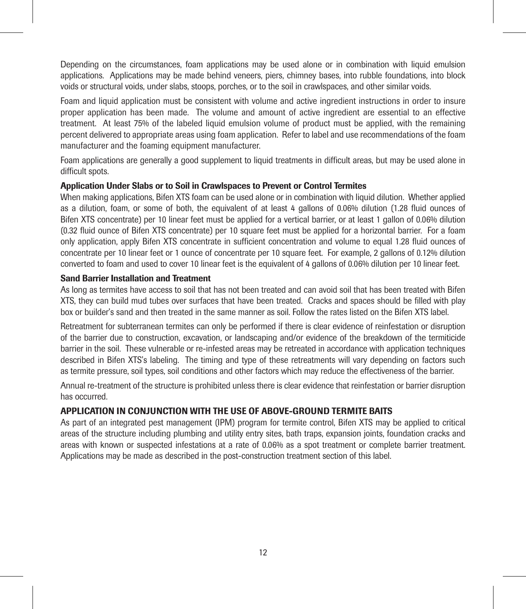Depending on the circumstances, foam applications may be used alone or in combination with liquid emulsion applications. Applications may be made behind veneers, piers, chimney bases, into rubble foundations, into block voids or structural voids, under slabs, stoops, porches, or to the soil in crawlspaces, and other similar voids.

Foam and liquid application must be consistent with volume and active ingredient instructions in order to insure proper application has been made. The volume and amount of active ingredient are essential to an effective treatment. At least 75% of the labeled liquid emulsion volume of product must be applied, with the remaining percent delivered to appropriate areas using foam application. Refer to label and use recommendations of the foam manufacturer and the foaming equipment manufacturer.

Foam applications are generally a good supplement to liquid treatments in difficult areas, but may be used alone in difficult spots.

# Application Under Slabs or to Soil in Crawlspaces to Prevent or Control Termites

When making applications, Bifen XTS foam can be used alone or in combination with liquid dilution. Whether applied as a dilution, foam, or some of both, the equivalent of at least 4 gallons of 0.06% dilution (1.28 fluid ounces of Bifen XTS concentrate) per 10 linear feet must be applied for a vertical barrier, or at least 1 gallon of 0.06% dilution (0.32 fluid ounce of Bifen XTS concentrate) per 10 square feet must be applied for a horizontal barrier. For a foam only application, apply Bifen XTS concentrate in sufficient concentration and volume to equal 1.28 fluid ounces of concentrate per 10 linear feet or 1 ounce of concentrate per 10 square feet. For example, 2 gallons of 0.12% dilution converted to foam and used to cover 10 linear feet is the equivalent of 4 gallons of 0.06% dilution per 10 linear feet.

# Sand Barrier Installation and Treatment

As long as termites have access to soil that has not been treated and can avoid soil that has been treated with Bifen XTS, they can build mud tubes over surfaces that have been treated. Cracks and spaces should be filled with play box or builder's sand and then treated in the same manner as soil. Follow the rates listed on the Bifen XTS label.

Retreatment for subterranean termites can only be performed if there is clear evidence of reinfestation or disruption of the barrier due to construction, excavation, or landscaping and/or evidence of the breakdown of the termiticide barrier in the soil. These vulnerable or re-infested areas may be retreated in accordance with application techniques described in Bifen XTS's labeling. The timing and type of these retreatments will vary depending on factors such as termite pressure, soil types, soil conditions and other factors which may reduce the effectiveness of the barrier.

Annual re-treatment of the structure is prohibited unless there is clear evidence that reinfestation or barrier disruption has occurred.

# APPLICATION IN CONJUNCTION WITH THE USE OF ABOVE-GROUND TERMITE BAITS

As part of an integrated pest management (IPM) program for termite control, Bifen XTS may be applied to critical areas of the structure including plumbing and utility entry sites, bath traps, expansion joints, foundation cracks and areas with known or suspected infestations at a rate of 0.06% as a spot treatment or complete barrier treatment. Applications may be made as described in the post-construction treatment section of this label.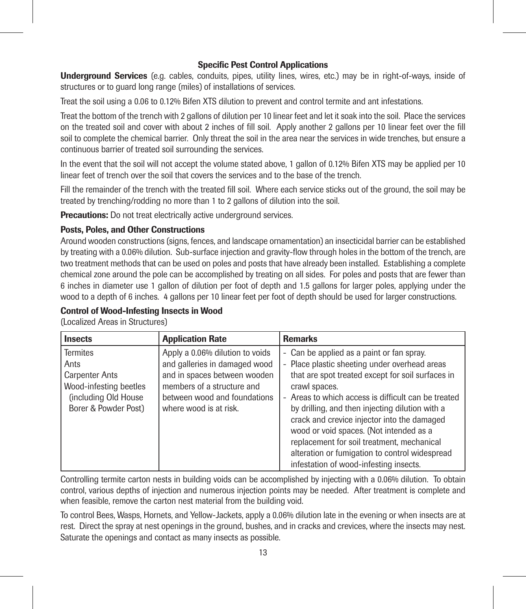# Specific Pest Control Applications

**Underground Services** (e.g. cables, conduits, pipes, utility lines, wires, etc.) may be in right-of-ways, inside of structures or to guard long range (miles) of installations of services.

Treat the soil using a 0.06 to 0.12% Bifen XTS dilution to prevent and control termite and ant infestations.

Treat the bottom of the trench with 2 gallons of dilution per 10 linear feet and let it soak into the soil. Place the services on the treated soil and cover with about 2 inches of fill soil. Apply another 2 gallons per 10 linear feet over the fill soil to complete the chemical barrier. Only threat the soil in the area near the services in wide trenches, but ensure a continuous barrier of treated soil surrounding the services.

In the event that the soil will not accept the volume stated above, 1 gallon of 0.12% Bifen XTS may be applied per 10 linear feet of trench over the soil that covers the services and to the base of the trench.

Fill the remainder of the trench with the treated fill soil. Where each service sticks out of the ground, the soil may be treated by trenching/rodding no more than 1 to 2 gallons of dilution into the soil.

Precautions: Do not treat electrically active underground services.

# Posts, Poles, and Other Constructions

Around wooden constructions (signs, fences, and landscape ornamentation) an insecticidal barrier can be established by treating with a 0.06% dilution. Sub-surface injection and gravity-flow through holes in the bottom of the trench, are two treatment methods that can be used on poles and posts that have already been installed. Establishing a complete chemical zone around the pole can be accomplished by treating on all sides. For poles and posts that are fewer than 6 inches in diameter use 1 gallon of dilution per foot of depth and 1.5 gallons for larger poles, applying under the wood to a depth of 6 inches. 4 gallons per 10 linear feet per foot of depth should be used for larger constructions.

# Control of Wood-Infesting Insects in Wood

(Localized Areas in Structures)

| <b>Insects</b>         | <b>Application Rate</b>         | <b>Remarks</b>                                    |
|------------------------|---------------------------------|---------------------------------------------------|
| <b>Termites</b>        | Apply a 0.06% dilution to voids | Can be applied as a paint or fan spray.<br>۰      |
| Ants                   | and galleries in damaged wood   | Place plastic sheeting under overhead areas<br>٠  |
| <b>Carpenter Ants</b>  | and in spaces between wooden    | that are spot treated except for soil surfaces in |
| Wood-infesting beetles | members of a structure and      | crawl spaces.                                     |
| (including Old House)  | between wood and foundations    | Areas to which access is difficult can be treated |
| Borer & Powder Post)   | where wood is at risk.          | by drilling, and then injecting dilution with a   |
|                        |                                 | crack and crevice injector into the damaged       |
|                        |                                 | wood or void spaces. (Not intended as a           |
|                        |                                 | replacement for soil treatment, mechanical        |
|                        |                                 | alteration or fumigation to control widespread    |
|                        |                                 | infestation of wood-infesting insects.            |

Controlling termite carton nests in building voids can be accomplished by injecting with a 0.06% dilution. To obtain control, various depths of injection and numerous injection points may be needed. After treatment is complete and when feasible, remove the carton nest material from the building void.

To control Bees, Wasps, Hornets, and Yellow-Jackets, apply a 0.06% dilution late in the evening or when insects are at rest. Direct the spray at nest openings in the ground, bushes, and in cracks and crevices, where the insects may nest. Saturate the openings and contact as many insects as possible.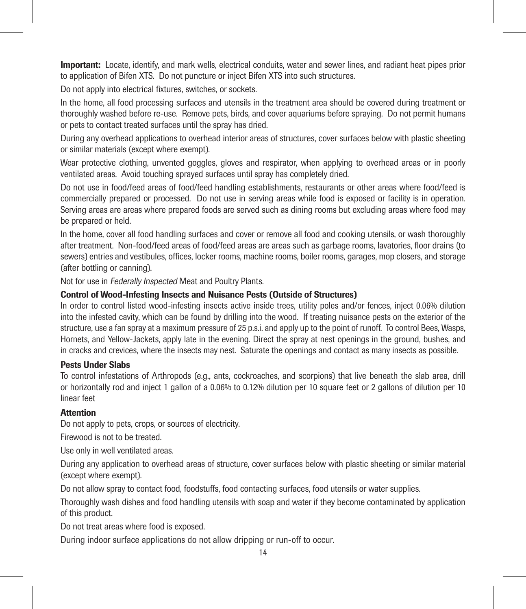Important: Locate, identify, and mark wells, electrical conduits, water and sewer lines, and radiant heat pipes prior to application of Bifen XTS. Do not puncture or inject Bifen XTS into such structures.

Do not apply into electrical fixtures, switches, or sockets.

In the home, all food processing surfaces and utensils in the treatment area should be covered during treatment or thoroughly washed before re-use. Remove pets, birds, and cover aquariums before spraying. Do not permit humans or pets to contact treated surfaces until the spray has dried.

During any overhead applications to overhead interior areas of structures, cover surfaces below with plastic sheeting or similar materials (except where exempt).

Wear protective clothing, unvented goggles, gloves and respirator, when applying to overhead areas or in poorly ventilated areas. Avoid touching sprayed surfaces until spray has completely dried.

Do not use in food/feed areas of food/feed handling establishments, restaurants or other areas where food/feed is commercially prepared or processed. Do not use in serving areas while food is exposed or facility is in operation. Serving areas are areas where prepared foods are served such as dining rooms but excluding areas where food may be prepared or held.

In the home, cover all food handling surfaces and cover or remove all food and cooking utensils, or wash thoroughly after treatment. Non-food/feed areas of food/feed areas are areas such as garbage rooms, lavatories, floor drains (to sewers) entries and vestibules, offices, locker rooms, machine rooms, boiler rooms, garages, mop closers, and storage (after bottling or canning).

Not for use in Federally Inspected Meat and Poultry Plants.

# Control of Wood-Infesting Insects and Nuisance Pests (Outside of Structures)

In order to control listed wood-infesting insects active inside trees, utility poles and/or fences, inject 0.06% dilution into the infested cavity, which can be found by drilling into the wood. If treating nuisance pests on the exterior of the structure, use a fan spray at a maximum pressure of 25 p.s.i. and apply up to the point of runoff. To control Bees, Wasps, Hornets, and Yellow-Jackets, apply late in the evening. Direct the spray at nest openings in the ground, bushes, and in cracks and crevices, where the insects may nest. Saturate the openings and contact as many insects as possible.

# Pests Under Slabs

To control infestations of Arthropods (e.g., ants, cockroaches, and scorpions) that live beneath the slab area, drill or horizontally rod and inject 1 gallon of a 0.06% to 0.12% dilution per 10 square feet or 2 gallons of dilution per 10 linear feet

# **Attention**

Do not apply to pets, crops, or sources of electricity.

Firewood is not to be treated.

Use only in well ventilated areas.

During any application to overhead areas of structure, cover surfaces below with plastic sheeting or similar material (except where exempt).

Do not allow spray to contact food, foodstuffs, food contacting surfaces, food utensils or water supplies.

Thoroughly wash dishes and food handling utensils with soap and water if they become contaminated by application of this product.

Do not treat areas where food is exposed.

During indoor surface applications do not allow dripping or run-off to occur.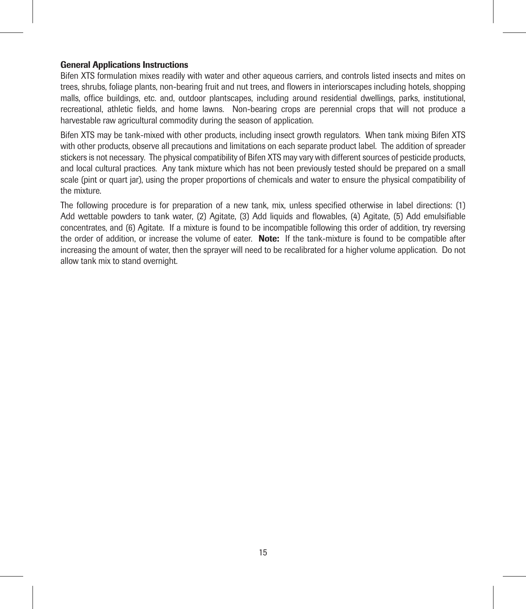## General Applications Instructions

Bifen XTS formulation mixes readily with water and other aqueous carriers, and controls listed insects and mites on trees, shrubs, foliage plants, non-bearing fruit and nut trees, and flowers in interiorscapes including hotels, shopping malls, office buildings, etc. and, outdoor plantscapes, including around residential dwellings, parks, institutional, recreational, athletic fields, and home lawns. Non-bearing crops are perennial crops that will not produce a harvestable raw agricultural commodity during the season of application.

Bifen XTS may be tank-mixed with other products, including insect growth regulators. When tank mixing Bifen XTS with other products, observe all precautions and limitations on each separate product label. The addition of spreader stickers is not necessary. The physical compatibility of Bifen XTS may vary with different sources of pesticide products, and local cultural practices. Any tank mixture which has not been previously tested should be prepared on a small scale (pint or quart jar), using the proper proportions of chemicals and water to ensure the physical compatibility of the mixture.

The following procedure is for preparation of a new tank, mix, unless specified otherwise in label directions: (1) Add wettable powders to tank water, (2) Agitate, (3) Add liquids and flowables, (4) Agitate, (5) Add emulsifiable concentrates, and (6) Agitate. If a mixture is found to be incompatible following this order of addition, try reversing the order of addition, or increase the volume of eater. Note: If the tank-mixture is found to be compatible after increasing the amount of water, then the sprayer will need to be recalibrated for a higher volume application. Do not allow tank mix to stand overnight.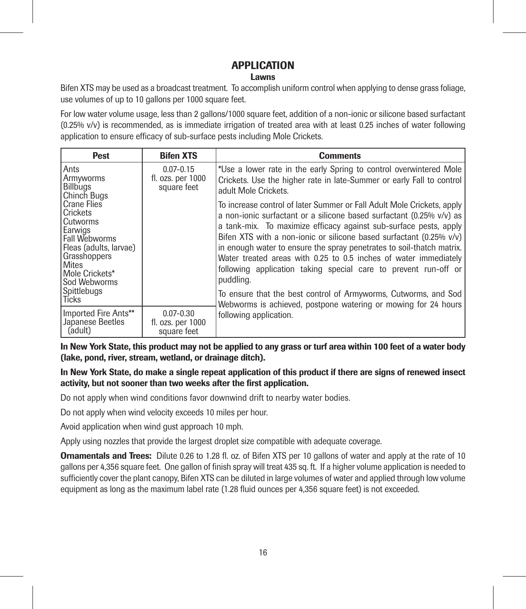# APPLICATION

# **Lawns**

Bifen XTS may be used as a broadcast treatment. To accomplish uniform control when applying to dense grass foliage, use volumes of up to 10 gallons per 1000 square feet.

For low water volume usage, less than 2 gallons/1000 square feet, addition of a non-ionic or silicone based surfactant (0.25% v/v) is recommended, as is immediate irrigation of treated area with at least 0.25 inches of water following application to ensure efficacy of sub-surface pests including Mole Crickets.

| Pest                                                                                                                                                                       | <b>Bifen XTS</b>                                  | <b>Comments</b>                                                                                                                                                                                                                                                                                                                                                                                                                                                                                                         |
|----------------------------------------------------------------------------------------------------------------------------------------------------------------------------|---------------------------------------------------|-------------------------------------------------------------------------------------------------------------------------------------------------------------------------------------------------------------------------------------------------------------------------------------------------------------------------------------------------------------------------------------------------------------------------------------------------------------------------------------------------------------------------|
| Ants<br>Armyworms<br>Billbugs<br>Chinch Bugs                                                                                                                               | $0.07 - 0.15$<br>fl. ozs. per 1000<br>square feet | *Use a lower rate in the early Spring to control overwintered Mole<br>Crickets. Use the higher rate in late-Summer or early Fall to control<br>adult Mole Crickets.                                                                                                                                                                                                                                                                                                                                                     |
| Crane Flies<br>Crickets<br>Cutworms<br>Earwigs<br>Fall Webworms<br>Fleas (adults, larvae)<br>Grasshoppers<br><b>Mites</b><br>Mole Crickets*<br>Sod Webworms<br>Spittlebugs |                                                   | To increase control of later Summer or Fall Adult Mole Crickets, apply<br>a non-ionic surfactant or a silicone based surfactant (0.25% v/v) as<br>a tank-mix. To maximize efficacy against sub-surface pests, apply<br>Bifen XTS with a non-ionic or silicone based surfactant (0.25% v/v)<br>in enough water to ensure the spray penetrates to soil-thatch matrix.<br>Water treated areas with 0.25 to 0.5 inches of water immediately<br>following application taking special care to prevent run-off or<br>puddling. |
| <b>Ticks</b>                                                                                                                                                               |                                                   | To ensure that the best control of Armyworms, Cutworms, and Sod<br>Webworms is achieved, postpone watering or mowing for 24 hours                                                                                                                                                                                                                                                                                                                                                                                       |
| Imported Fire Ants**<br>Japanese Beetles<br>(adult)                                                                                                                        | $0.07 - 0.30$<br>fl. ozs. per 1000<br>square feet | following application.                                                                                                                                                                                                                                                                                                                                                                                                                                                                                                  |

In New York State, this product may not be applied to any grass or turf area within 100 feet of a water body (lake, pond, river, stream, wetland, or drainage ditch).

In New York State, do make a single repeat application of this product if there are signs of renewed insect activity, but not sooner than two weeks after the first application.

Do not apply when wind conditions favor downwind drift to nearby water bodies.

Do not apply when wind velocity exceeds 10 miles per hour.

Avoid application when wind gust approach 10 mph.

Apply using nozzles that provide the largest droplet size compatible with adequate coverage.

**Ornamentals and Trees:** Dilute 0.26 to 1.28 fl. oz. of Bifen XTS per 10 gallons of water and apply at the rate of 10 gallons per 4,356 square feet. One gallon of finish spray will treat 435 sq. ft. If a higher volume application is needed to sufficiently cover the plant canopy, Bifen XTS can be diluted in large volumes of water and applied through low volume equipment as long as the maximum label rate (1.28 fluid ounces per 4,356 square feet) is not exceeded.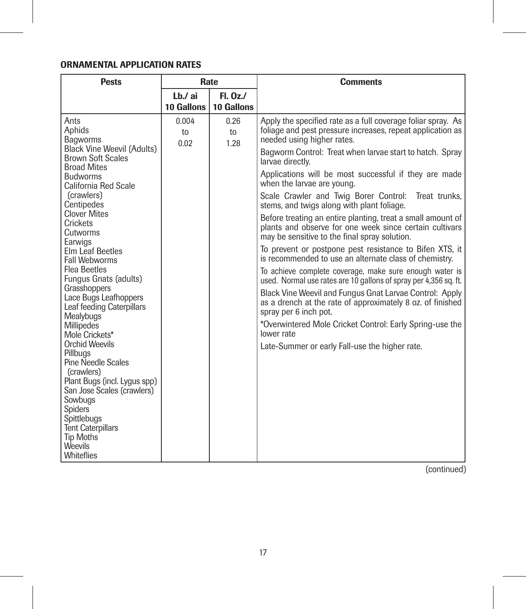# ORNAMENTAL APPLICATION RATES

| <b>Pests</b>                                                                                                                                                                                                                                                                                                                                                                                                                                                                                                                                                                                                                                                                                                    | Rate                  |                          | <b>Comments</b>                                                                                                                                                                                                                                                                                                                                                                                                                                                                                                                                                                                                                                                                                                                                                                                                                                                                                                                                                                                                                                                                                                                                      |  |
|-----------------------------------------------------------------------------------------------------------------------------------------------------------------------------------------------------------------------------------------------------------------------------------------------------------------------------------------------------------------------------------------------------------------------------------------------------------------------------------------------------------------------------------------------------------------------------------------------------------------------------------------------------------------------------------------------------------------|-----------------------|--------------------------|------------------------------------------------------------------------------------------------------------------------------------------------------------------------------------------------------------------------------------------------------------------------------------------------------------------------------------------------------------------------------------------------------------------------------------------------------------------------------------------------------------------------------------------------------------------------------------------------------------------------------------------------------------------------------------------------------------------------------------------------------------------------------------------------------------------------------------------------------------------------------------------------------------------------------------------------------------------------------------------------------------------------------------------------------------------------------------------------------------------------------------------------------|--|
|                                                                                                                                                                                                                                                                                                                                                                                                                                                                                                                                                                                                                                                                                                                 | I h./ai<br>10 Gallons | $FL. 0z$ .<br>10 Gallons |                                                                                                                                                                                                                                                                                                                                                                                                                                                                                                                                                                                                                                                                                                                                                                                                                                                                                                                                                                                                                                                                                                                                                      |  |
| Ants<br>Aphids<br>Bagworms<br>Black Vine Weevil (Adults)<br><b>Brown Soft Scales</b><br><b>Broad Mites</b><br><b>Budworms</b><br>California Red Scale<br>(crawlers)<br>Centipedes<br><b>Clover Mites</b><br>Crickets<br>Cutworms<br>Earwigs<br><b>Elm Leaf Beetles</b><br>Fall Webworms<br><b>Flea Beetles</b><br>Fungus Gnats (adults)<br>Grasshoppers<br>Lace Bugs Leafhoppers<br>Leaf feeding Caterpillars<br>Mealybugs<br>Millipedes<br>Mole Crickets*<br>Orchid Weevils<br>Pillbuas<br>Pine Needle Scales<br>(crawlers)<br>Plant Bugs (incl. Lygus spp)<br>San Jose Scales (crawlers)<br>Sowbuas<br>Spiders<br>Spittlebuas<br><b>Tent Caterpillars</b><br><b>Tip Moths</b><br>Weevils<br><b>Whiteflies</b> | 0.004<br>to<br>0.02   | 0.26<br>to<br>1.28       | Apply the specified rate as a full coverage foliar spray. As<br>foliage and pest pressure increases, repeat application as<br>needed using higher rates.<br>Bagworm Control: Treat when larvae start to hatch. Spray<br>larvae directly.<br>Applications will be most successful if they are made<br>when the larvae are young.<br>Scale Crawler and Twig Borer Control:<br>Treat trunks.<br>stems, and twigs along with plant foliage.<br>Before treating an entire planting, treat a small amount of<br>plants and observe for one week since certain cultivars<br>may be sensitive to the final spray solution.<br>To prevent or postpone pest resistance to Bifen XTS, it<br>is recommended to use an alternate class of chemistry.<br>To achieve complete coverage, make sure enough water is<br>used. Normal use rates are 10 gallons of spray per 4,356 sq. ft.<br>Black Vine Weevil and Fungus Gnat Larvae Control: Apply<br>as a drench at the rate of approximately 8 oz. of finished<br>spray per 6 inch pot.<br>*Overwintered Mole Cricket Control: Early Spring-use the<br>lower rate<br>Late-Summer or early Fall-use the higher rate. |  |

(continued)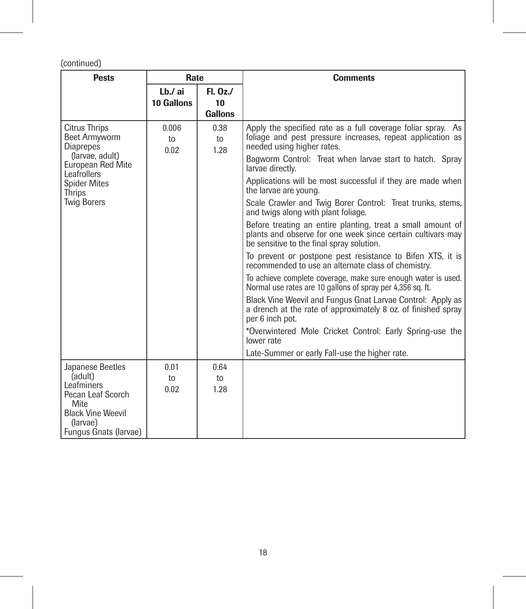(continued)

| <b>Pests</b>                                              | Rate                |                    | <b>Comments</b>                                                                                                                                                         |  |
|-----------------------------------------------------------|---------------------|--------------------|-------------------------------------------------------------------------------------------------------------------------------------------------------------------------|--|
|                                                           | Lb./ ai             | FL. 0z.            |                                                                                                                                                                         |  |
|                                                           | 10 Gallons          | 10                 |                                                                                                                                                                         |  |
|                                                           |                     | Gallons            |                                                                                                                                                                         |  |
| <b>Citrus Thrips</b><br>Beet Armyworm<br><b>Diaprepes</b> | 0.006<br>to<br>0.02 | 0.38<br>to<br>1.28 | Apply the specified rate as a full coverage foliar spray. As<br>foliage and pest pressure increases, repeat application as<br>needed using higher rates.                |  |
| (larvae, adult)<br>European Red Mite<br>Leafrollers       |                     |                    | Bagworm Control: Treat when larvae start to hatch. Spray<br>larvae directly.                                                                                            |  |
| <b>Spider Mites</b><br>Thrips                             |                     |                    | Applications will be most successful if they are made when<br>the larvae are young.                                                                                     |  |
| <b>Twig Borers</b>                                        |                     |                    | Scale Crawler and Twig Borer Control: Treat trunks, stems,<br>and twigs along with plant foliage.                                                                       |  |
|                                                           |                     |                    | Before treating an entire planting, treat a small amount of<br>plants and observe for one week since certain cultivars may<br>be sensitive to the final spray solution. |  |
|                                                           |                     |                    | To prevent or postpone pest resistance to Bifen XTS, it is<br>recommended to use an alternate class of chemistry.                                                       |  |
|                                                           |                     |                    | To achieve complete coverage, make sure enough water is used.<br>Normal use rates are 10 gallons of spray per 4,356 sq. ft.                                             |  |
|                                                           |                     |                    | Black Vine Weevil and Fungus Gnat Larvae Control: Apply as<br>a drench at the rate of approximately 8 oz. of finished spray<br>per 6 inch pot.                          |  |
|                                                           |                     |                    | *Overwintered Mole Cricket Control: Early Spring-use the<br>lower rate                                                                                                  |  |
|                                                           |                     |                    | Late-Summer or early Fall-use the higher rate.                                                                                                                          |  |
| Japanese Beetles                                          | 0.01                | 0.64               |                                                                                                                                                                         |  |
| (adult)                                                   | 10 <sub>1</sub>     | to                 |                                                                                                                                                                         |  |
| Leafminers                                                | 0.02                | 1.28               |                                                                                                                                                                         |  |
| Pecan Leaf Scorch<br><b>Mite</b>                          |                     |                    |                                                                                                                                                                         |  |
| <b>Black Vine Weevil</b>                                  |                     |                    |                                                                                                                                                                         |  |
| (larvae)                                                  |                     |                    |                                                                                                                                                                         |  |
| Fungus Gnats (larvae)                                     |                     |                    |                                                                                                                                                                         |  |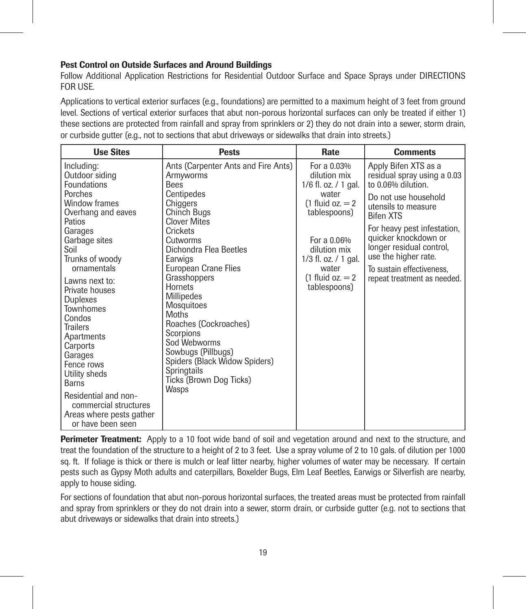# Pest Control on Outside Surfaces and Around Buildings

Follow Additional Application Restrictions for Residential Outdoor Surface and Space Sprays under DIRECTIONS FOR USE.

Applications to vertical exterior surfaces (e.g., foundations) are permitted to a maximum height of 3 feet from ground level. Sections of vertical exterior surfaces that abut non-porous horizontal surfaces can only be treated if either 1) these sections are protected from rainfall and spray from sprinklers or 2) they do not drain into a sewer, storm drain, or curbside gutter (e.g., not to sections that abut driveways or sidewalks that drain into streets.)

| <b>Use Sites</b>                                                                                                                                                                                                                                                                                                                                                                                                                                                     | <b>Pests</b>                                                                                                                                                                                                                                                                                                                                                                                                                                                | Rate                                                                                                                                                                                                              | <b>Comments</b>                                                                                                                                                                                                                                                                                                     |
|----------------------------------------------------------------------------------------------------------------------------------------------------------------------------------------------------------------------------------------------------------------------------------------------------------------------------------------------------------------------------------------------------------------------------------------------------------------------|-------------------------------------------------------------------------------------------------------------------------------------------------------------------------------------------------------------------------------------------------------------------------------------------------------------------------------------------------------------------------------------------------------------------------------------------------------------|-------------------------------------------------------------------------------------------------------------------------------------------------------------------------------------------------------------------|---------------------------------------------------------------------------------------------------------------------------------------------------------------------------------------------------------------------------------------------------------------------------------------------------------------------|
| Including:<br>Outdoor siding<br>Foundations<br>Porches<br>Window frames<br>Overhang and eaves<br>Patios<br>Garages<br>Garbage sites<br>Soil<br>Trunks of woody<br>ornamentals<br>Lawns next to:<br>Private houses<br><b>Duplexes</b><br><b>Townhomes</b><br>Condos<br><b>Trailers</b><br>Apartments<br>Carports<br>Garages<br>Fence rows<br>Utility sheds<br>Barns<br>Residential and non-<br>commercial structures<br>Areas where pests gather<br>or have been seen | Ants (Carpenter Ants and Fire Ants)<br>Armyworms<br><b>Bees</b><br>Centipedes<br>Chiggers<br><b>Chinch Bugs</b><br>Clover Mites<br>Crickets<br>Cutworms<br>Dichondra Flea Beetles<br>Earwigs<br><b>European Crane Flies</b><br>Grasshoppers<br>Hornets<br>Millipedes<br>Mosquitoes<br>Moths<br>Roaches (Cockroaches)<br>Scorpions<br>Sod Webworms<br>Sowbugs (Pillbugs)<br>Spiders (Black Widow Spiders)<br>Springtails<br>Ticks (Brown Dog Ticks)<br>Wasps | For a 0.03%<br>dilution mix<br>$1/6$ fl. oz. $/ 1$ gal.<br>water<br>$(1$ fluid oz. $= 2$<br>tablespoons)<br>For a 0.06%<br>dilution mix<br>$1/3$ fl. oz. $/1$ gal.<br>water<br>$(1$ fluid oz. = 2<br>tablespoons) | Apply Bifen XTS as a<br>residual spray using a 0.03<br>to 0.06% dilution.<br>Do not use household<br>utensils to measure<br><b>Bifen XTS</b><br>For heavy pest infestation,<br>quicker knockdown or<br>longer residual control,<br>use the higher rate.<br>To sustain effectiveness.<br>repeat treatment as needed. |

Perimeter Treatment: Apply to a 10 foot wide band of soil and vegetation around and next to the structure, and treat the foundation of the structure to a height of 2 to 3 feet. Use a spray volume of 2 to 10 gals. of dilution per 1000 sq. ft. If foliage is thick or there is mulch or leaf litter nearby, higher volumes of water may be necessary. If certain pests such as Gypsy Moth adults and caterpillars, Boxelder Bugs, Elm Leaf Beetles, Earwigs or Silverfish are nearby, apply to house siding.

For sections of foundation that abut non-porous horizontal surfaces, the treated areas must be protected from rainfall and spray from sprinklers or they do not drain into a sewer, storm drain, or curbside gutter (e.g. not to sections that abut driveways or sidewalks that drain into streets.)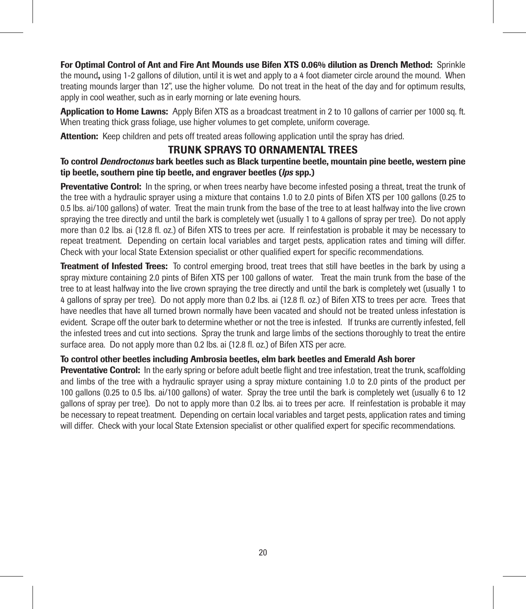For Optimal Control of Ant and Fire Ant Mounds use Bifen XTS 0.06% dilution as Drench Method: Sprinkle the mound, using 1-2 gallons of dilution, until it is wet and apply to a 4 foot diameter circle around the mound. When treating mounds larger than 12", use the higher volume. Do not treat in the heat of the day and for optimum results, apply in cool weather, such as in early morning or late evening hours.

Application to Home Lawns: Apply Bifen XTS as a broadcast treatment in 2 to 10 gallons of carrier per 1000 sq. ft. When treating thick grass foliage, use higher volumes to get complete, uniform coverage.

Attention: Keep children and pets off treated areas following application until the spray has dried.

# TRUNK SPRAYS TO ORNAMENTAL TREES

To control *Dendroctonus* bark beetles such as Black turpentine beetle, mountain pine beetle, western pine tip beetle, southern pine tip beetle, and engraver beetles (*lps* spp.)

Preventative Control: In the spring, or when trees nearby have become infested posing a threat, treat the trunk of the tree with a hydraulic sprayer using a mixture that contains 1.0 to 2.0 pints of Bifen XTS per 100 gallons (0.25 to 0.5 lbs. ai/100 gallons) of water. Treat the main trunk from the base of the tree to at least halfway into the live crown spraying the tree directly and until the bark is completely wet (usually 1 to 4 gallons of spray per tree). Do not apply more than 0.2 lbs. ai (12.8 fl. oz.) of Bifen XTS to trees per acre. If reinfestation is probable it may be necessary to repeat treatment. Depending on certain local variables and target pests, application rates and timing will differ. Check with your local State Extension specialist or other qualified expert for specific recommendations.

Treatment of Infested Trees: To control emerging brood, treat trees that still have beetles in the bark by using a spray mixture containing 2.0 pints of Bifen XTS per 100 gallons of water. Treat the main trunk from the base of the tree to at least halfway into the live crown spraying the tree directly and until the bark is completely wet (usually 1 to 4 gallons of spray per tree). Do not apply more than 0.2 lbs. ai (12.8 fl. oz.) of Bifen XTS to trees per acre. Trees that have needles that have all turned brown normally have been vacated and should not be treated unless infestation is evident. Scrape off the outer bark to determine whether or not the tree is infested. If trunks are currently infested, fell the infested trees and cut into sections. Spray the trunk and large limbs of the sections thoroughly to treat the entire surface area. Do not apply more than 0.2 lbs. ai (12.8 fl. oz.) of Bifen XTS per acre.

# To control other beetles including Ambrosia beetles, elm bark beetles and Emerald Ash borer

Preventative Control: In the early spring or before adult beetle flight and tree infestation, treat the trunk, scaffolding and limbs of the tree with a hydraulic sprayer using a spray mixture containing 1.0 to 2.0 pints of the product per 100 gallons (0.25 to 0.5 lbs. ai/100 gallons) of water. Spray the tree until the bark is completely wet (usually 6 to 12 gallons of spray per tree). Do not to apply more than 0.2 lbs. ai to trees per acre. If reinfestation is probable it may be necessary to repeat treatment. Depending on certain local variables and target pests, application rates and timing will differ. Check with your local State Extension specialist or other qualified expert for specific recommendations.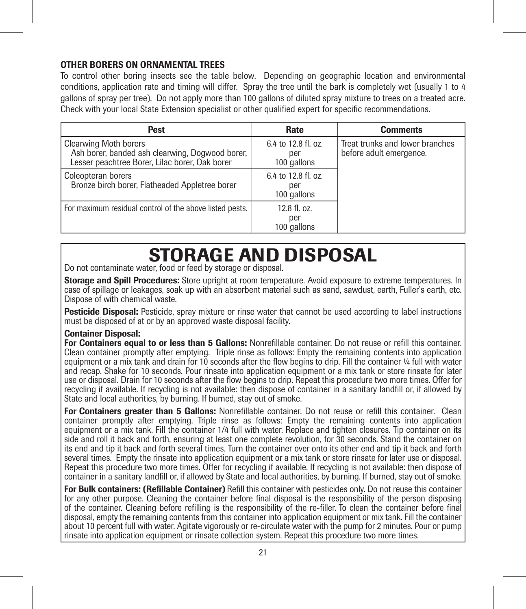# OTHER BORERS ON ORNAMENTAL TREES

To control other boring insects see the table below. Depending on geographic location and environmental conditions, application rate and timing will differ. Spray the tree until the bark is completely wet (usually 1 to 4 gallons of spray per tree). Do not apply more than 100 gallons of diluted spray mixture to trees on a treated acre. Check with your local State Extension specialist or other qualified expert for specific recommendations.

| Pest                                                                                                                              | Rate                                      | <b>Comments</b>                                            |
|-----------------------------------------------------------------------------------------------------------------------------------|-------------------------------------------|------------------------------------------------------------|
| <b>Clearwing Moth borers</b><br>Ash borer, banded ash clearwing, Dogwood borer,<br>Lesser peachtree Borer, Lilac borer, Oak borer | 6.4 to 12.8 fl. oz.<br>per<br>100 gallons | Treat trunks and lower branches<br>before adult emergence. |
| Coleopteran borers<br>Bronze birch borer, Flatheaded Appletree borer                                                              | 6.4 to 12.8 fl. oz.<br>per<br>100 gallons |                                                            |
| For maximum residual control of the above listed pests.                                                                           | 12.8 fl. oz.<br>per<br>100 gallons        |                                                            |

# STORAGE AND DISPOSAL

Do not contaminate water, food or feed by storage or disposal.

Storage and Spill Procedures: Store upright at room temperature. Avoid exposure to extreme temperatures. In case of spillage or leakages, soak up with an absorbent material such as sand, sawdust, earth, Fuller's earth, etc. Dispose of with chemical waste.

**Pesticide Disposal:** Pesticide, spray mixture or rinse water that cannot be used according to label instructions must be disposed of at or by an approved waste disposal facility.

# Container Disposal:

For Containers equal to or less than 5 Gallons: Nonrefillable container. Do not reuse or refill this container. Clean container promptly after emptying. Triple rinse as follows: Empty the remaining contents into application equipment or a mix tank and drain for 10 seconds after the flow begins to drip. Fill the container ¼ full with water and recap. Shake for 10 seconds. Pour rinsate into application equipment or a mix tank or store rinsate for later use or disposal. Drain for 10 seconds after the flow begins to drip. Repeat this procedure two more times. Offer for recycling if available. If recycling is not available: then dispose of container in a sanitary landfill or, if allowed by State and local authorities, by burning. If burned, stay out of smoke.

For Containers greater than 5 Gallons: Nonrefillable container. Do not reuse or refill this container. Clean container promptly after emptying. Triple rinse as follows: Empty the remaining contents into application equipment or a mix tank. Fill the container 1/4 full with water. Replace and tighten closures. Tip container on its side and roll it back and forth, ensuring at least one complete revolution, for 30 seconds. Stand the container on its end and tip it back and forth several times. Turn the container over onto its other end and tip it back and forth several times. Empty the rinsate into application equipment or a mix tank or store rinsate for later use or disposal. Repeat this procedure two more times. Offer for recycling if available. If recycling is not available: then dispose of container in a sanitary landfill or, if allowed by State and local authorities, by burning. If burned, stay out of smoke.

For Bulk containers: (Refillable Container) Refill this container with pesticides only. Do not reuse this container for any other purpose*.* Cleaning the container before final disposal is the responsibility of the person disposing of the container. Cleaning before refilling is the responsibility of the re-filler. To clean the container before final disposal, empty the remaining contents from this container into application equipment or mix tank. Fill the container about 10 percent full with water. Agitate vigorously or re-circulate water with the pump for 2 minutes. Pour or pump rinsate into application equipment or rinsate collection system. Repeat this procedure two more times.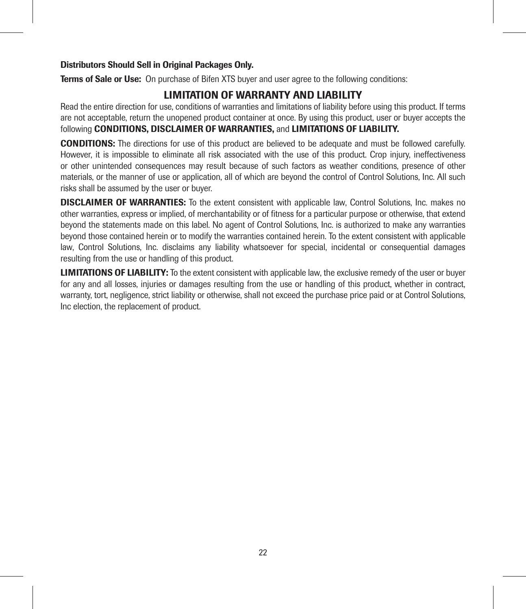# Distributors Should Sell in Original Packages Only.

**Terms of Sale or Use:** On purchase of Bifen XTS buyer and user agree to the following conditions:

# LIMITATION OF WARRANTY AND LIABILITY

Read the entire direction for use, conditions of warranties and limitations of liability before using this product. If terms are not acceptable, return the unopened product container at once. By using this product, user or buyer accepts the following CONDITIONS, DISCLAIMER OF WARRANTIES, and LIMITATIONS OF LIABILITY.

CONDITIONS: The directions for use of this product are believed to be adequate and must be followed carefully. However, it is impossible to eliminate all risk associated with the use of this product. Crop injury, ineffectiveness or other unintended consequences may result because of such factors as weather conditions, presence of other materials, or the manner of use or application, all of which are beyond the control of Control Solutions, Inc. All such risks shall be assumed by the user or buyer.

DISCLAIMER OF WARRANTIES: To the extent consistent with applicable law, Control Solutions, Inc. makes no other warranties, express or implied, of merchantability or of fitness for a particular purpose or otherwise, that extend beyond the statements made on this label. No agent of Control Solutions, Inc. is authorized to make any warranties beyond those contained herein or to modify the warranties contained herein. To the extent consistent with applicable law, Control Solutions, Inc. disclaims any liability whatsoever for special, incidental or consequential damages resulting from the use or handling of this product.

LIMITATIONS OF LIABILITY: To the extent consistent with applicable law, the exclusive remedy of the user or buyer for any and all losses, injuries or damages resulting from the use or handling of this product, whether in contract, warranty, tort, negligence, strict liability or otherwise, shall not exceed the purchase price paid or at Control Solutions, Inc election, the replacement of product.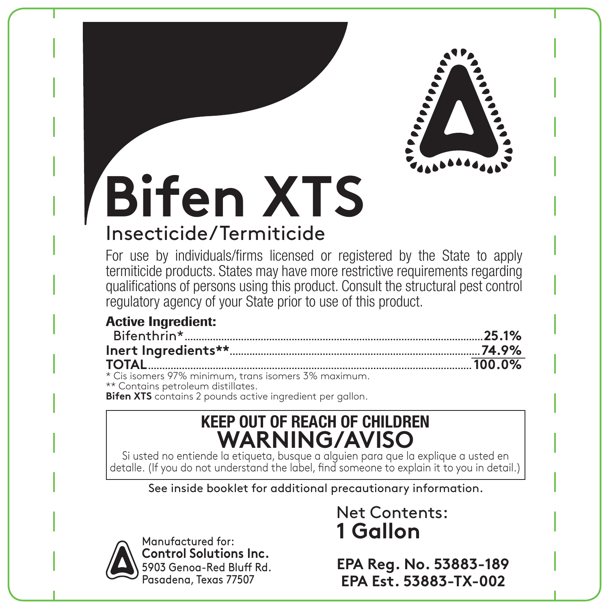

# **Bifen XTS** Insecticide/Termiticide

For use by individuals/firms licensed or registered by the State to apply termiticide products. States may have more restrictive requirements regarding qualifications of persons using this product. Consult the structural pest control regulatory agency of your State prior to use of this product.

# Active Ingredient:

| * Cis isomers 97% minimum, trans isomers 3% maximum. |  |
|------------------------------------------------------|--|
| ** Contains petroleum distillates.                   |  |

**Bifen XTS** contains 2 pounds active ingredient per gallon.

# **KEEP OUT OF REACH OF CHILDREN WARNING/AVISO**

Si usted no entiende la etiqueta, busque a alguien para que la explique a usted en detalle. (If you do not understand the label, find someone to explain it to you in detail.)

See inside booklet for additional precautionary information.



Manufactured for: **Control Solutions Inc.** 5903 Genoa-Red Bluff Rd. Pasadena, Texas 77507

# Net Contents: **1 Gallon**

**EPA Reg. No. 53883-189 EPA Est. 53883-TX-002**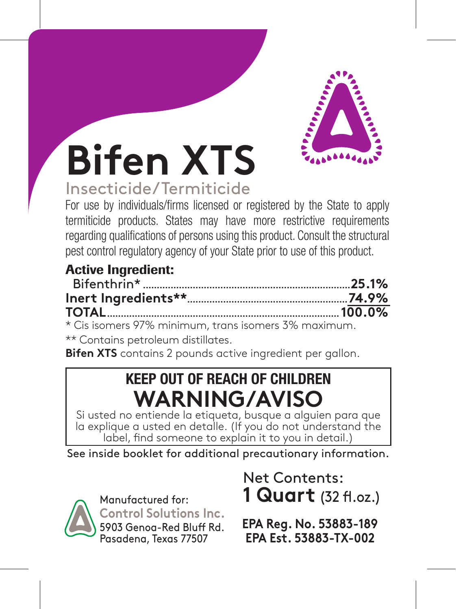

# **Bifen XTS**

# Insecticide/Termiticide

For use by individuals/firms licensed or registered by the State to apply termiticide products. States may have more restrictive requirements regarding qualifications of persons using this product. Consult the structural pest control regulatory agency of your State prior to use of this product.

# Active Ingredient:

| <b>TOTAL</b> 2000.0% |  |
|----------------------|--|

\* Cis isomers 97% minimum, trans isomers 3% maximum.

\*\* Contains petroleum distillates.

**Bifen XTS** contains 2 pounds active ingredient per gallon.

# **KEEP OUT OF REACH OF CHILDREN WARNING/AVISO**

Si usted no entiende la etiqueta, busque a alguien para que la explique a usted en detalle. (If you do not understand the label, find someone to explain it to you in detail.)

See inside booklet for additional precautionary information.



Manufactured for: **Control Solutions Inc.** 5903 Genoa-Red Bluff Rd. Pasadena, Texas 77507

Net Contents: **1 Quart** (32 fl.oz.)

**EPA Reg. No. 53883-189 EPA Est. 53883-TX-002**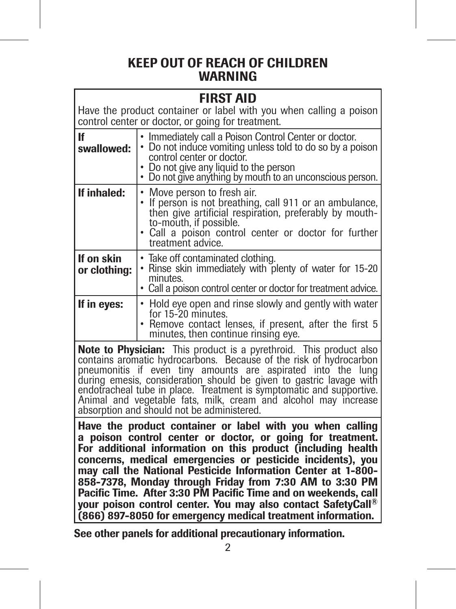# KEEP OUT OF REACH OF CHILDREN WARNING

|                                                                                                                                                                                                              | FIRST AID<br>Have the product container or label with you when calling a poison<br>control center or doctor, or going for treatment.                                                                                                                   |  |
|--------------------------------------------------------------------------------------------------------------------------------------------------------------------------------------------------------------|--------------------------------------------------------------------------------------------------------------------------------------------------------------------------------------------------------------------------------------------------------|--|
| If<br>swallowed:                                                                                                                                                                                             | • Immediately call a Poison Control Center or doctor.<br>• Do not induce vomiting unless told to do so by a poison<br>control center or doctor.<br>• Do not give any liquid to the person<br>• Do not give anything by mouth to an unconscious person. |  |
| If inhaled:                                                                                                                                                                                                  | • Move person to fresh air.<br>If person is not breathing, call 911 or an ambulance,<br>then give artificial respiration, preferably by mouth-<br>to-mouth, if possible.<br>. Call a poison control center or doctor for further<br>treatment advice.  |  |
| If on skin<br>or clothing:                                                                                                                                                                                   | • Take off contaminated clothing.<br>. Rinse skin immediately with plenty of water for 15-20<br>minutes.<br>• Call a poison control center or doctor for treatment advice.                                                                             |  |
| Hold eye open and rinse slowly and gently with water<br>If in eyes:<br>for 15-20 minutes.<br>Remove contact lenses, if present, after the first 5<br>minutes, then continue rinsing eye.                     |                                                                                                                                                                                                                                                        |  |
| <b>Note to Physician:</b> This product is a pyrethroid. This product also contains aromatic hydrocarbons. Because of the risk of hydrocarbon<br>pneumonitis if even tiny amounts are aspirated into the lung |                                                                                                                                                                                                                                                        |  |

pneumonitis if even tiny amounts are aspirated into the lung during emesis, consideration should be given to gastric lavage with endotracheal tube in place. Treatment is symptomatic and supportive. Animal and vegetable fats, milk, cream and alcohol may increase absorption and should not be administered.

Have the product container or label with you when calling a poison control center or doctor, or going for treatment. For additional information on this product (including health concerns, medical emergencies or pesticide incidents), you may call the National Pesticide Information Center at 1-800- 858-7378, Monday through Friday from 7:30 AM to 3:30 PM Pacific Time. After 3:30 PM Pacific Time and on weekends, call your poison control center. You may also contact SafetyCall® (866) 897-8050 for emergency medical treatment information.

See other panels for additional precautionary information.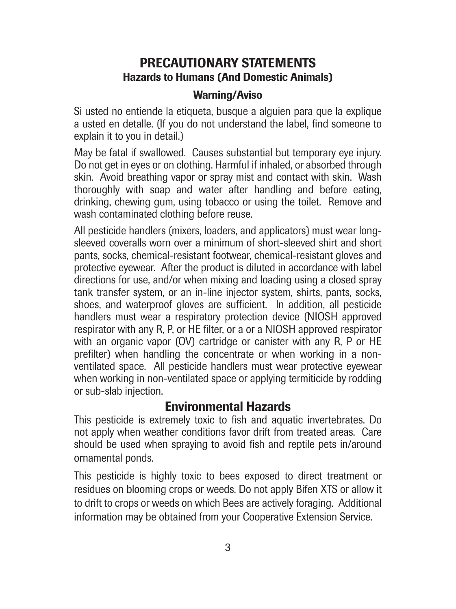# PRECAUTIONARY STATEMENTS Hazards to Humans (And Domestic Animals)

# Warning/Aviso

Si usted no entiende la etiqueta, busque a alguien para que la explique a usted en detalle. (If you do not understand the label, find someone to explain it to you in detail.)

May be fatal if swallowed. Causes substantial but temporary eye injury. Do not get in eyes or on clothing. Harmful if inhaled, or absorbed through skin. Avoid breathing vapor or spray mist and contact with skin. Wash thoroughly with soap and water after handling and before eating, drinking, chewing gum, using tobacco or using the toilet. Remove and wash contaminated clothing before reuse.

All pesticide handlers (mixers, loaders, and applicators) must wear longsleeved coveralls worn over a minimum of short-sleeved shirt and short pants, socks, chemical-resistant footwear, chemical-resistant gloves and protective eyewear. After the product is diluted in accordance with label directions for use, and/or when mixing and loading using a closed spray tank transfer system, or an in-line injector system, shirts, pants, socks, shoes, and waterproof gloves are sufficient. In addition, all pesticide handlers must wear a respiratory protection device (NIOSH approved respirator with any R, P, or HE filter, or a or a NIOSH approved respirator with an organic vapor (OV) cartridge or canister with any R, P or HE prefilter) when handling the concentrate or when working in a nonventilated space. All pesticide handlers must wear protective eyewear when working in non-ventilated space or applying termiticide by rodding or sub-slab injection.

# Environmental Hazards

This pesticide is extremely toxic to fish and aquatic invertebrates. Do not apply when weather conditions favor drift from treated areas. Care should be used when spraying to avoid fish and reptile pets in/around ornamental ponds.

This pesticide is highly toxic to bees exposed to direct treatment or residues on blooming crops or weeds. Do not apply Bifen XTS or allow it to drift to crops or weeds on which Bees are actively foraging. Additional information may be obtained from your Cooperative Extension Service.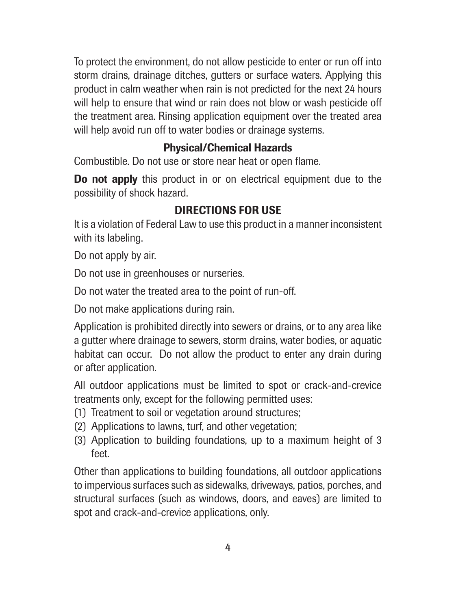To protect the environment, do not allow pesticide to enter or run off into storm drains, drainage ditches, gutters or surface waters. Applying this product in calm weather when rain is not predicted for the next 24 hours will help to ensure that wind or rain does not blow or wash pesticide off the treatment area. Rinsing application equipment over the treated area will help avoid run off to water bodies or drainage systems.

# Physical/Chemical Hazards

Combustible. Do not use or store near heat or open flame.

Do not apply this product in or on electrical equipment due to the possibility of shock hazard.

# DIRECTIONS FOR USE

It is a violation of Federal Law to use this product in a manner inconsistent with its labeling.

Do not apply by air.

Do not use in greenhouses or nurseries.

Do not water the treated area to the point of run-off.

Do not make applications during rain.

Application is prohibited directly into sewers or drains, or to any area like a gutter where drainage to sewers, storm drains, water bodies, or aquatic habitat can occur. Do not allow the product to enter any drain during or after application.

All outdoor applications must be limited to spot or crack-and-crevice treatments only, except for the following permitted uses:

- (1) Treatment to soil or vegetation around structures;
- (2) Applications to lawns, turf, and other vegetation;
- (3) Application to building foundations, up to a maximum height of 3 feet.

Other than applications to building foundations, all outdoor applications to impervious surfaces such as sidewalks, driveways, patios, porches, and structural surfaces (such as windows, doors, and eaves) are limited to spot and crack-and-crevice applications, only.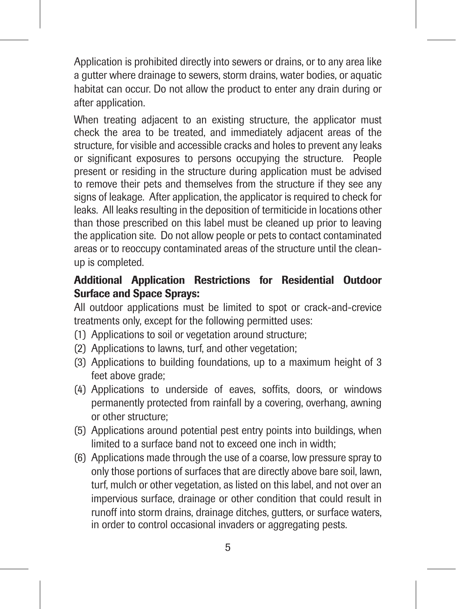Application is prohibited directly into sewers or drains, or to any area like a gutter where drainage to sewers, storm drains, water bodies, or aquatic habitat can occur. Do not allow the product to enter any drain during or after application.

When treating adjacent to an existing structure, the applicator must check the area to be treated, and immediately adjacent areas of the structure, for visible and accessible cracks and holes to prevent any leaks or significant exposures to persons occupying the structure. People present or residing in the structure during application must be advised to remove their pets and themselves from the structure if they see any signs of leakage. After application, the applicator is required to check for leaks. All leaks resulting in the deposition of termiticide in locations other than those prescribed on this label must be cleaned up prior to leaving the application site. Do not allow people or pets to contact contaminated areas or to reoccupy contaminated areas of the structure until the cleanup is completed.

# Additional Application Restrictions for Residential Outdoor Surface and Space Sprays:

All outdoor applications must be limited to spot or crack-and-crevice treatments only, except for the following permitted uses:

- (1) Applications to soil or vegetation around structure;
- (2) Applications to lawns, turf, and other vegetation;
- (3) Applications to building foundations, up to a maximum height of 3 feet above grade;
- (4) Applications to underside of eaves, soffits, doors, or windows permanently protected from rainfall by a covering, overhang, awning or other structure;
- (5) Applications around potential pest entry points into buildings, when limited to a surface band not to exceed one inch in width;
- (6) Applications made through the use of a coarse, low pressure spray to only those portions of surfaces that are directly above bare soil, lawn, turf, mulch or other vegetation, as listed on this label, and not over an impervious surface, drainage or other condition that could result in runoff into storm drains, drainage ditches, gutters, or surface waters, in order to control occasional invaders or aggregating pests.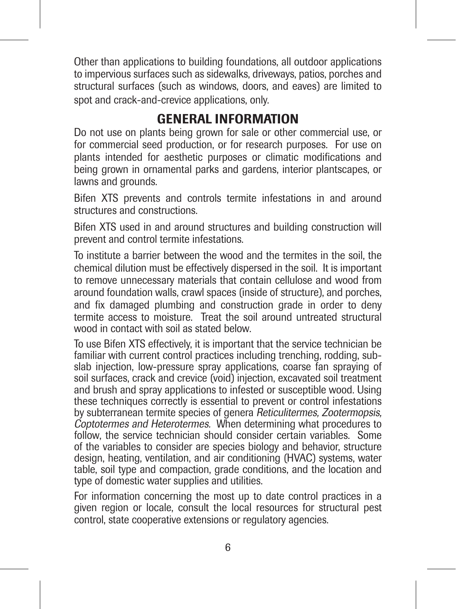Other than applications to building foundations, all outdoor applications to impervious surfaces such as sidewalks, driveways, patios, porches and structural surfaces (such as windows, doors, and eaves) are limited to spot and crack-and-crevice applications, only.

# GENERAL INFORMATION

Do not use on plants being grown for sale or other commercial use, or for commercial seed production, or for research purposes. For use on plants intended for aesthetic purposes or climatic modifications and being grown in ornamental parks and gardens, interior plantscapes, or lawns and grounds.

Bifen XTS prevents and controls termite infestations in and around structures and constructions.

Bifen XTS used in and around structures and building construction will prevent and control termite infestations.

To institute a barrier between the wood and the termites in the soil, the chemical dilution must be effectively dispersed in the soil. It is important to remove unnecessary materials that contain cellulose and wood from around foundation walls, crawl spaces (inside of structure), and porches, and fix damaged plumbing and construction grade in order to deny termite access to moisture. Treat the soil around untreated structural wood in contact with soil as stated below.

To use Bifen XTS effectively, it is important that the service technician be familiar with current control practices including trenching, rodding, subslab injection, low-pressure spray applications, coarse fan spraying of soil surfaces, crack and crevice (void) injection, excavated soil treatment and brush and spray applications to infested or susceptible wood. Using these techniques correctly is essential to prevent or control infestations by subterranean termite species of genera Reticulitermes, Zootermopsis, Coptotermes and Heterotermes. When determining what procedures to follow, the service technician should consider certain variables. Some of the variables to consider are species biology and behavior, structure design, heating, ventilation, and air conditioning (HVAC) systems, water table, soil type and compaction, grade conditions, and the location and type of domestic water supplies and utilities.

For information concerning the most up to date control practices in a given region or locale, consult the local resources for structural pest control, state cooperative extensions or regulatory agencies.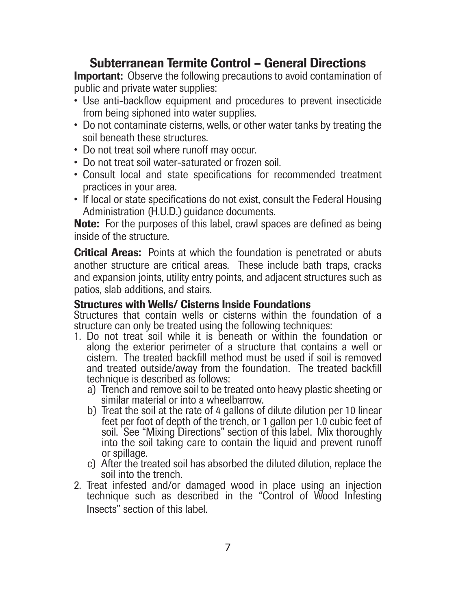# Subterranean Termite Control – General Directions

**Important:** Observe the following precautions to avoid contamination of public and private water supplies:

- Use anti-backflow equipment and procedures to prevent insecticide from being siphoned into water supplies.
- Do not contaminate cisterns, wells, or other water tanks by treating the soil beneath these structures.
- Do not treat soil where runoff may occur.
- Do not treat soil water-saturated or frozen soil.
- Consult local and state specifications for recommended treatment practices in your area.
- If local or state specifications do not exist, consult the Federal Housing Administration (H.U.D.) quidance documents.

Note: For the purposes of this label, crawl spaces are defined as being inside of the structure.

Critical Areas: Points at which the foundation is penetrated or abuts another structure are critical areas. These include bath traps, cracks and expansion joints, utility entry points, and adjacent structures such as patios, slab additions, and stairs.

#### Structures with Wells/ Cisterns Inside Foundations

Structures that contain wells or cisterns within the foundation of a structure can only be treated using the following techniques:

- 1. Do not treat soil while it is beneath or within the foundation or along the exterior perimeter of a structure that contains a well or cistern. The treated backfill method must be used if soil is removed and treated outside/away from the foundation. The treated backfill technique is described as follows:
	- a) Trench and remove soil to be treated onto heavy plastic sheeting or similar material or into a wheelbarrow.
	- b) Treat the soil at the rate of 4 gallons of dilute dilution per 10 linear feet per foot of depth of the trench, or 1 gallon per 1.0 cubic feet of soil. See "Mixing Directions" section of this label. Mix thoroughly into the soil taking care to contain the liquid and prevent runoff or spillage.
	- c) After the treated soil has absorbed the diluted dilution, replace the soil into the trench.
- 2. Treat infested and/or damaged wood in place using an injection technique such as described in the "Control of Wood Infesting Insects" section of this label.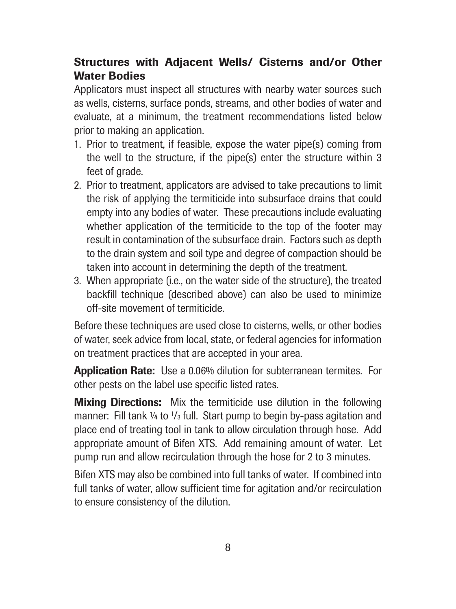# Structures with Adjacent Wells/ Cisterns and/or Other Water Bodies

Applicators must inspect all structures with nearby water sources such as wells, cisterns, surface ponds, streams, and other bodies of water and evaluate, at a minimum, the treatment recommendations listed below prior to making an application.

- 1. Prior to treatment, if feasible, expose the water pipe(s) coming from the well to the structure, if the pipe(s) enter the structure within 3 feet of grade.
- 2. Prior to treatment, applicators are advised to take precautions to limit the risk of applying the termiticide into subsurface drains that could empty into any bodies of water. These precautions include evaluating whether application of the termiticide to the top of the footer may result in contamination of the subsurface drain. Factors such as depth to the drain system and soil type and degree of compaction should be taken into account in determining the depth of the treatment.
- 3. When appropriate (i.e., on the water side of the structure), the treated backfill technique (described above) can also be used to minimize off-site movement of termiticide.

Before these techniques are used close to cisterns, wells, or other bodies of water, seek advice from local, state, or federal agencies for information on treatment practices that are accepted in your area.

Application Rate: Use a 0.06% dilution for subterranean termites. For other pests on the label use specific listed rates.

Mixing Directions: Mix the termiticide use dilution in the following manner: Fill tank 1/4 to 1/3 full. Start pump to begin by-pass agitation and place end of treating tool in tank to allow circulation through hose. Add appropriate amount of Bifen XTS. Add remaining amount of water. Let pump run and allow recirculation through the hose for 2 to 3 minutes.

Bifen XTS may also be combined into full tanks of water. If combined into full tanks of water, allow sufficient time for agitation and/or recirculation to ensure consistency of the dilution.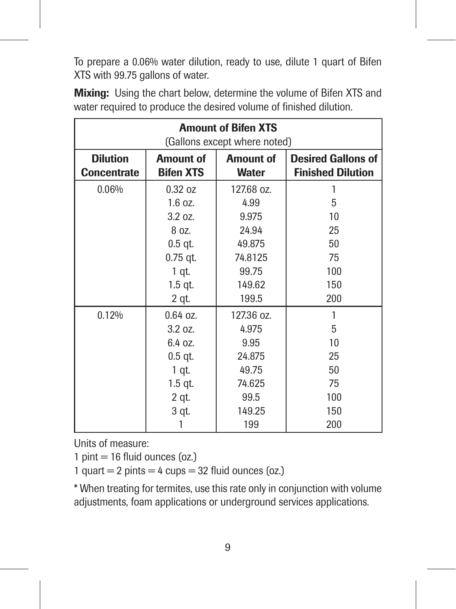To prepare a 0.06% water dilution, ready to use, dilute 1 quart of Bifen XTS with 99.75 gallons of water.

|                    |                      | <b>Amount of Bifen XTS</b><br>(Gallons except where noted) |                           |
|--------------------|----------------------|------------------------------------------------------------|---------------------------|
| <b>Dilution</b>    | Amount of            | Amount of                                                  | <b>Desired Gallons of</b> |
| <b>Concentrate</b> | <b>Bifen XTS</b>     | <b>Water</b>                                               | <b>Finished Dilution</b>  |
| 0.06%              | 0.32 oz<br>$1.6$ oz. | 127.68 oz.<br>4.99                                         | 5                         |
|                    | 3.207                | 9.975                                                      | 10                        |
|                    | 8 oz.                | 24.94                                                      | 25                        |
|                    | $0.5$ qt.            | 49.875                                                     | 50                        |
|                    | $0.75$ qt.           | 74.8125                                                    | 75                        |
|                    | 1 qt.                | 99.75                                                      | 100                       |
|                    | $1.5$ qt.            | 149.62                                                     | 150                       |
|                    | 2 qt.                | 199.5                                                      | 200                       |
| 0.12%              | $0.64$ oz.<br>3.207  | 127.36 oz.<br>4.975                                        | 5                         |
|                    | 6.4 oz.              | 9.95                                                       | 10                        |
|                    | $0.5$ qt.            | 24.875                                                     | 25                        |
|                    | 1 qt.                | 49.75                                                      | 50                        |
|                    | $1.5$ qt.            | 74.625                                                     | 75                        |
|                    | 2 qt.                | 99.5                                                       | 100                       |
|                    | 3 qt.                | 149.25                                                     | 150                       |
|                    |                      | 199                                                        | 200                       |

Mixing: Using the chart below, determine the volume of Bifen XTS and water required to produce the desired volume of finished dilution.

Units of measure:

 $1 \text{ pint} = 16 \text{ fluid ounces}$  (oz.)

1 quart  $= 2$  pints  $= 4$  cups  $= 32$  fluid ounces (oz.)

\* When treating for termites, use this rate only in conjunction with volume adjustments, foam applications or underground services applications.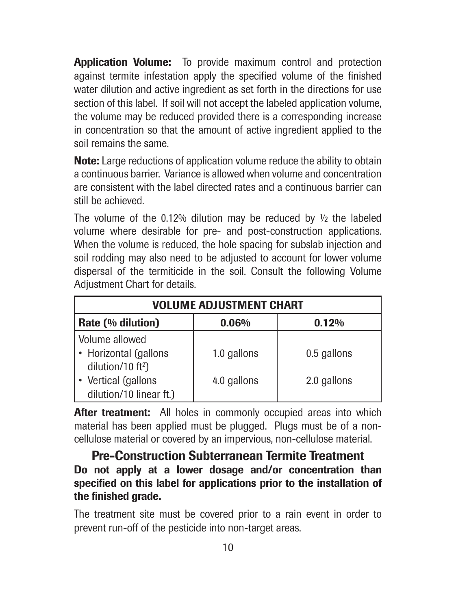**Application Volume:** To provide maximum control and protection against termite infestation apply the specified volume of the finished water dilution and active ingredient as set forth in the directions for use section of this label. If soil will not accept the labeled application volume, the volume may be reduced provided there is a corresponding increase in concentration so that the amount of active ingredient applied to the soil remains the same.

Note: Large reductions of application volume reduce the ability to obtain a continuous barrier. Variance is allowed when volume and concentration are consistent with the label directed rates and a continuous barrier can still be achieved.

The volume of the 0.12% dilution may be reduced by  $\frac{1}{2}$  the labeled volume where desirable for pre- and post-construction applications. When the volume is reduced, the hole spacing for subslab injection and soil rodding may also need to be adjusted to account for lower volume dispersal of the termiticide in the soil. Consult the following Volume Adjustment Chart for details.

|                                                                          | <b>VOLUME ADJUSTMENT CHART</b> |             |  |  |
|--------------------------------------------------------------------------|--------------------------------|-------------|--|--|
| Rate (% dilution)<br>0.06%<br>0.12%                                      |                                |             |  |  |
| Volume allowed<br>• Horizontal (gallons<br>dilution/10 ft <sup>2</sup> ) | 1.0 gallons                    | 0.5 gallons |  |  |
| Vertical (gallons<br>dilution/10 linear ft.)                             | 4.0 gallons                    | 2.0 gallons |  |  |

After treatment: All holes in commonly occupied areas into which material has been applied must be plugged. Plugs must be of a noncellulose material or covered by an impervious, non-cellulose material.

Pre-Construction Subterranean Termite Treatment Do not apply at a lower dosage and/or concentration than specified on this label for applications prior to the installation of the finished grade.

The treatment site must be covered prior to a rain event in order to prevent run-off of the pesticide into non-target areas.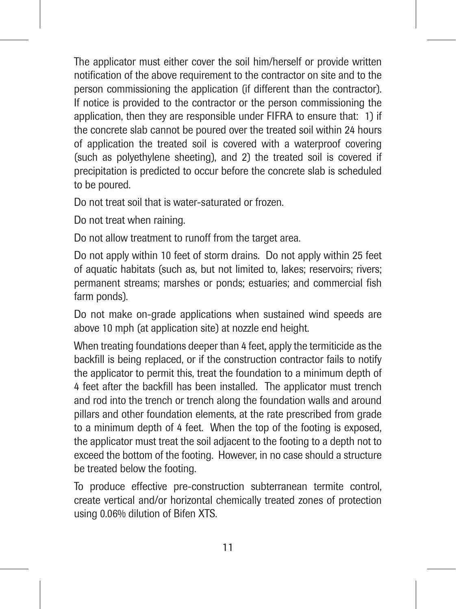The applicator must either cover the soil him/herself or provide written notification of the above requirement to the contractor on site and to the person commissioning the application (if different than the contractor). If notice is provided to the contractor or the person commissioning the application, then they are responsible under FIFRA to ensure that: 1) if the concrete slab cannot be poured over the treated soil within 24 hours of application the treated soil is covered with a waterproof covering (such as polyethylene sheeting), and 2) the treated soil is covered if precipitation is predicted to occur before the concrete slab is scheduled to be poured.

Do not treat soil that is water-saturated or frozen.

Do not treat when raining.

Do not allow treatment to runoff from the target area.

Do not apply within 10 feet of storm drains. Do not apply within 25 feet of aquatic habitats (such as, but not limited to, lakes; reservoirs; rivers; permanent streams; marshes or ponds; estuaries; and commercial fish farm ponds).

Do not make on-grade applications when sustained wind speeds are above 10 mph (at application site) at nozzle end height.

When treating foundations deeper than 4 feet, apply the termiticide as the backfill is being replaced, or if the construction contractor fails to notify the applicator to permit this, treat the foundation to a minimum depth of 4 feet after the backfill has been installed. The applicator must trench and rod into the trench or trench along the foundation walls and around pillars and other foundation elements, at the rate prescribed from grade to a minimum depth of 4 feet. When the top of the footing is exposed, the applicator must treat the soil adjacent to the footing to a depth not to exceed the bottom of the footing. However, in no case should a structure be treated below the footing.

To produce effective pre-construction subterranean termite control, create vertical and/or horizontal chemically treated zones of protection using 0.06% dilution of Bifen XTS.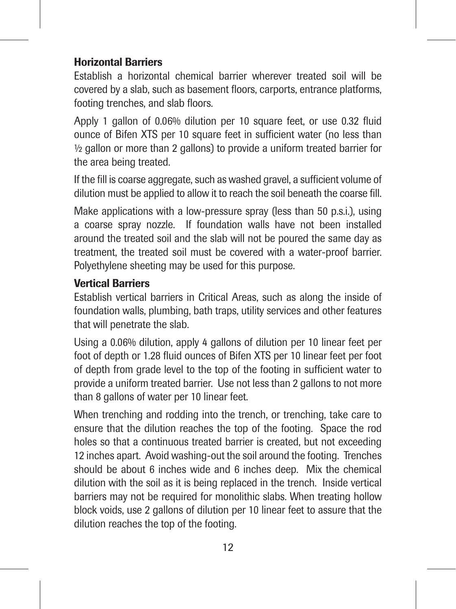# Horizontal Barriers

Establish a horizontal chemical barrier wherever treated soil will be covered by a slab, such as basement floors, carports, entrance platforms, footing trenches, and slab floors.

Apply 1 gallon of 0.06% dilution per 10 square feet, or use 0.32 fluid ounce of Bifen XTS per 10 square feet in sufficient water (no less than ½ gallon or more than 2 gallons) to provide a uniform treated barrier for the area being treated.

If the fill is coarse aggregate, such as washed gravel, a sufficient volume of dilution must be applied to allow it to reach the soil beneath the coarse fill.

Make applications with a low-pressure spray (less than 50 p.s.i.), using a coarse spray nozzle. If foundation walls have not been installed around the treated soil and the slab will not be poured the same day as treatment, the treated soil must be covered with a water-proof barrier. Polyethylene sheeting may be used for this purpose.

# Vertical Barriers

Establish vertical barriers in Critical Areas, such as along the inside of foundation walls, plumbing, bath traps, utility services and other features that will penetrate the slab.

Using a 0.06% dilution, apply 4 gallons of dilution per 10 linear feet per foot of depth or 1.28 fluid ounces of Bifen XTS per 10 linear feet per foot of depth from grade level to the top of the footing in sufficient water to provide a uniform treated barrier. Use not less than 2 gallons to not more than 8 gallons of water per 10 linear feet.

When trenching and rodding into the trench, or trenching, take care to ensure that the dilution reaches the top of the footing. Space the rod holes so that a continuous treated barrier is created, but not exceeding 12 inches apart. Avoid washing-out the soil around the footing. Trenches should be about 6 inches wide and 6 inches deep. Mix the chemical dilution with the soil as it is being replaced in the trench. Inside vertical barriers may not be required for monolithic slabs. When treating hollow block voids, use 2 gallons of dilution per 10 linear feet to assure that the dilution reaches the top of the footing.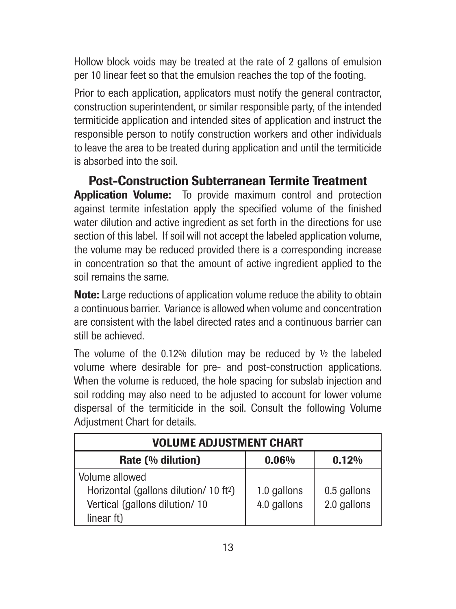Hollow block voids may be treated at the rate of 2 gallons of emulsion per 10 linear feet so that the emulsion reaches the top of the footing.

Prior to each application, applicators must notify the general contractor, construction superintendent, or similar responsible party, of the intended termiticide application and intended sites of application and instruct the responsible person to notify construction workers and other individuals to leave the area to be treated during application and until the termiticide is absorbed into the soil.

Post-Construction Subterranean Termite Treatment Application Volume: To provide maximum control and protection

against termite infestation apply the specified volume of the finished water dilution and active ingredient as set forth in the directions for use section of this label. If soil will not accept the labeled application volume, the volume may be reduced provided there is a corresponding increase in concentration so that the amount of active ingredient applied to the soil remains the same.

Note: Large reductions of application volume reduce the ability to obtain a continuous barrier. Variance is allowed when volume and concentration are consistent with the label directed rates and a continuous barrier can still be achieved.

The volume of the 0.12% dilution may be reduced by ½ the labeled volume where desirable for pre- and post-construction applications. When the volume is reduced, the hole spacing for subslab injection and soil rodding may also need to be adjusted to account for lower volume dispersal of the termiticide in the soil. Consult the following Volume Adjustment Chart for details.

| <b>VOLUME ADJUSTMENT CHART</b>                     |             |             |  |  |
|----------------------------------------------------|-------------|-------------|--|--|
| Rate (% dilution)<br>0.06%<br>0.12%                |             |             |  |  |
| Volume allowed                                     |             |             |  |  |
| Horizontal (gallons dilution/ 10 ft <sup>2</sup> ) | 1.0 gallons | 0.5 gallons |  |  |
| Vertical (gallons dilution/10                      | 4.0 gallons | 2.0 gallons |  |  |
| linear ft)                                         |             |             |  |  |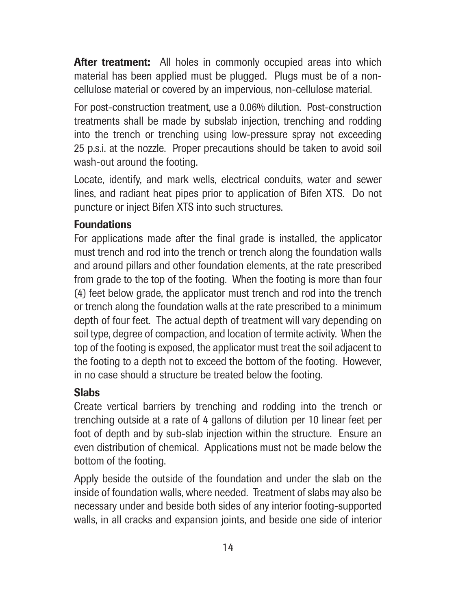After treatment: All holes in commonly occupied areas into which material has been applied must be plugged. Plugs must be of a noncellulose material or covered by an impervious, non-cellulose material.

For post-construction treatment, use a 0.06% dilution. Post-construction treatments shall be made by subslab injection, trenching and rodding into the trench or trenching using low-pressure spray not exceeding 25 p.s.i. at the nozzle. Proper precautions should be taken to avoid soil wash-out around the footing.

Locate, identify, and mark wells, electrical conduits, water and sewer lines, and radiant heat pipes prior to application of Bifen XTS. Do not puncture or inject Bifen XTS into such structures.

## Foundations

For applications made after the final grade is installed, the applicator must trench and rod into the trench or trench along the foundation walls and around pillars and other foundation elements, at the rate prescribed from grade to the top of the footing. When the footing is more than four (4) feet below grade, the applicator must trench and rod into the trench or trench along the foundation walls at the rate prescribed to a minimum depth of four feet. The actual depth of treatment will vary depending on soil type, degree of compaction, and location of termite activity. When the top of the footing is exposed, the applicator must treat the soil adjacent to the footing to a depth not to exceed the bottom of the footing. However, in no case should a structure be treated below the footing.

#### Slabs

Create vertical barriers by trenching and rodding into the trench or trenching outside at a rate of 4 gallons of dilution per 10 linear feet per foot of depth and by sub-slab injection within the structure. Ensure an even distribution of chemical. Applications must not be made below the bottom of the footing.

Apply beside the outside of the foundation and under the slab on the inside of foundation walls, where needed. Treatment of slabs may also be necessary under and beside both sides of any interior footing-supported walls, in all cracks and expansion joints, and beside one side of interior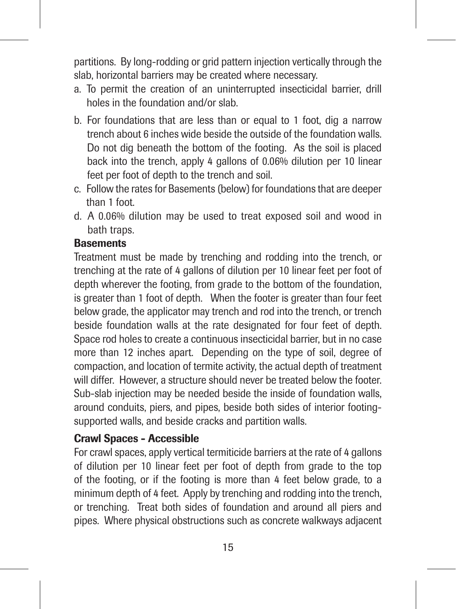partitions. By long-rodding or grid pattern injection vertically through the slab, horizontal barriers may be created where necessary.

- a. To permit the creation of an uninterrupted insecticidal barrier, drill holes in the foundation and/or slab.
- b. For foundations that are less than or equal to 1 foot, dig a narrow trench about 6 inches wide beside the outside of the foundation walls. Do not dig beneath the bottom of the footing. As the soil is placed back into the trench, apply 4 gallons of 0.06% dilution per 10 linear feet per foot of depth to the trench and soil.
- c. Follow the rates for Basements (below) for foundations that are deeper than 1 foot.
- d. A 0.06% dilution may be used to treat exposed soil and wood in bath traps.

# **Basements**

Treatment must be made by trenching and rodding into the trench, or trenching at the rate of 4 gallons of dilution per 10 linear feet per foot of depth wherever the footing, from grade to the bottom of the foundation, is greater than 1 foot of depth. When the footer is greater than four feet below grade, the applicator may trench and rod into the trench, or trench beside foundation walls at the rate designated for four feet of depth. Space rod holes to create a continuous insecticidal barrier, but in no case more than 12 inches apart. Depending on the type of soil, degree of compaction, and location of termite activity, the actual depth of treatment will differ. However, a structure should never be treated below the footer. Sub-slab injection may be needed beside the inside of foundation walls, around conduits, piers, and pipes, beside both sides of interior footingsupported walls, and beside cracks and partition walls.

# Crawl Spaces - Accessible

For crawl spaces, apply vertical termiticide barriers at the rate of 4 gallons of dilution per 10 linear feet per foot of depth from grade to the top of the footing, or if the footing is more than 4 feet below grade, to a minimum depth of 4 feet. Apply by trenching and rodding into the trench, or trenching. Treat both sides of foundation and around all piers and pipes. Where physical obstructions such as concrete walkways adjacent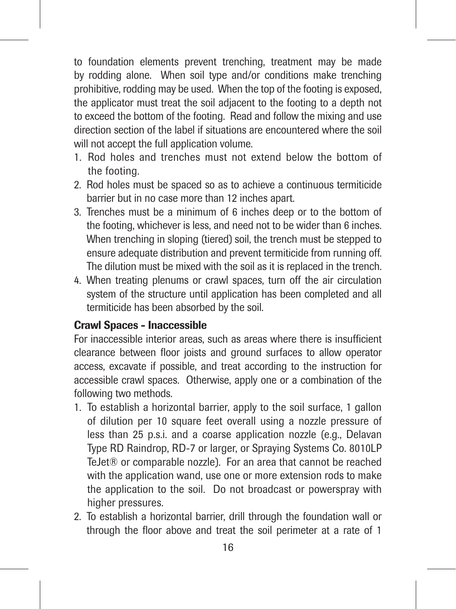to foundation elements prevent trenching, treatment may be made by rodding alone. When soil type and/or conditions make trenching prohibitive, rodding may be used. When the top of the footing is exposed, the applicator must treat the soil adjacent to the footing to a depth not to exceed the bottom of the footing. Read and follow the mixing and use direction section of the label if situations are encountered where the soil will not accept the full application volume.

- 1. Rod holes and trenches must not extend below the bottom of the footing.
- 2. Rod holes must be spaced so as to achieve a continuous termiticide barrier but in no case more than 12 inches apart.
- 3. Trenches must be a minimum of 6 inches deep or to the bottom of the footing, whichever is less, and need not to be wider than 6 inches. When trenching in sloping (tiered) soil, the trench must be stepped to ensure adequate distribution and prevent termiticide from running off. The dilution must be mixed with the soil as it is replaced in the trench.
- 4. When treating plenums or crawl spaces, turn off the air circulation system of the structure until application has been completed and all termiticide has been absorbed by the soil.

# Crawl Spaces - Inaccessible

For inaccessible interior areas, such as areas where there is insufficient clearance between floor joists and ground surfaces to allow operator access, excavate if possible, and treat according to the instruction for accessible crawl spaces. Otherwise, apply one or a combination of the following two methods.

- 1. To establish a horizontal barrier, apply to the soil surface, 1 gallon of dilution per 10 square feet overall using a nozzle pressure of less than 25 p.s.i. and a coarse application nozzle (e.g., Delavan Type RD Raindrop, RD-7 or larger, or Spraying Systems Co. 8010LP TeJet® or comparable nozzle). For an area that cannot be reached with the application wand, use one or more extension rods to make the application to the soil. Do not broadcast or powerspray with higher pressures.
- 2. To establish a horizontal barrier, drill through the foundation wall or through the floor above and treat the soil perimeter at a rate of 1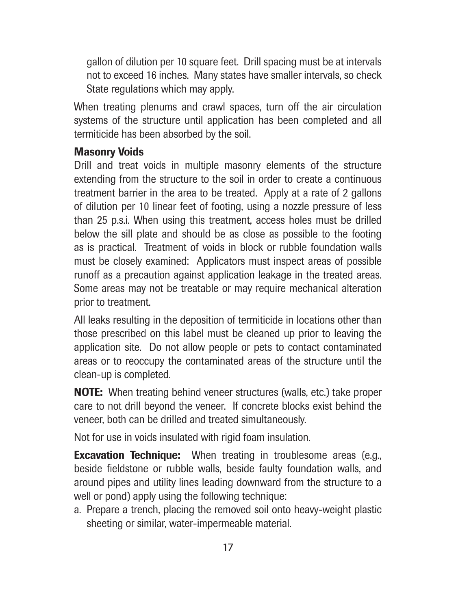gallon of dilution per 10 square feet. Drill spacing must be at intervals not to exceed 16 inches. Many states have smaller intervals, so check State regulations which may apply.

When treating plenums and crawl spaces, turn off the air circulation systems of the structure until application has been completed and all termiticide has been absorbed by the soil.

# Masonry Voids

Drill and treat voids in multiple masonry elements of the structure extending from the structure to the soil in order to create a continuous treatment barrier in the area to be treated. Apply at a rate of 2 gallons of dilution per 10 linear feet of footing, using a nozzle pressure of less than 25 p.s.i. When using this treatment, access holes must be drilled below the sill plate and should be as close as possible to the footing as is practical. Treatment of voids in block or rubble foundation walls must be closely examined: Applicators must inspect areas of possible runoff as a precaution against application leakage in the treated areas. Some areas may not be treatable or may require mechanical alteration prior to treatment.

All leaks resulting in the deposition of termiticide in locations other than those prescribed on this label must be cleaned up prior to leaving the application site. Do not allow people or pets to contact contaminated areas or to reoccupy the contaminated areas of the structure until the clean-up is completed.

NOTE: When treating behind veneer structures (walls, etc.) take proper care to not drill beyond the veneer. If concrete blocks exist behind the veneer, both can be drilled and treated simultaneously.

Not for use in voids insulated with rigid foam insulation.

**Excavation Technique:** When treating in troublesome areas (e.g., beside fieldstone or rubble walls, beside faulty foundation walls, and around pipes and utility lines leading downward from the structure to a well or pond) apply using the following technique:

a. Prepare a trench, placing the removed soil onto heavy-weight plastic sheeting or similar, water-impermeable material.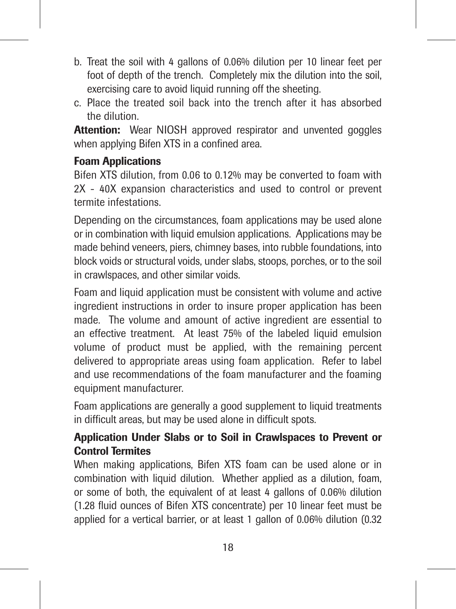- b. Treat the soil with 4 gallons of 0.06% dilution per 10 linear feet per foot of depth of the trench. Completely mix the dilution into the soil, exercising care to avoid liquid running off the sheeting.
- c. Place the treated soil back into the trench after it has absorbed the dilution.

Attention: Wear NIOSH approved respirator and unvented goggles when applying Bifen XTS in a confined area.

# Foam Applications

Bifen XTS dilution, from 0.06 to 0.12% may be converted to foam with 2X - 40X expansion characteristics and used to control or prevent termite infestations.

Depending on the circumstances, foam applications may be used alone or in combination with liquid emulsion applications. Applications may be made behind veneers, piers, chimney bases, into rubble foundations, into block voids or structural voids, under slabs, stoops, porches, or to the soil in crawlspaces, and other similar voids.

Foam and liquid application must be consistent with volume and active ingredient instructions in order to insure proper application has been made. The volume and amount of active ingredient are essential to an effective treatment. At least 75% of the labeled liquid emulsion volume of product must be applied, with the remaining percent delivered to appropriate areas using foam application. Refer to label and use recommendations of the foam manufacturer and the foaming equipment manufacturer.

Foam applications are generally a good supplement to liquid treatments in difficult areas, but may be used alone in difficult spots.

# Application Under Slabs or to Soil in Crawlspaces to Prevent or Control Termites

When making applications, Bifen XTS foam can be used alone or in combination with liquid dilution. Whether applied as a dilution, foam, or some of both, the equivalent of at least 4 gallons of 0.06% dilution (1.28 fluid ounces of Bifen XTS concentrate) per 10 linear feet must be applied for a vertical barrier, or at least 1 gallon of 0.06% dilution (0.32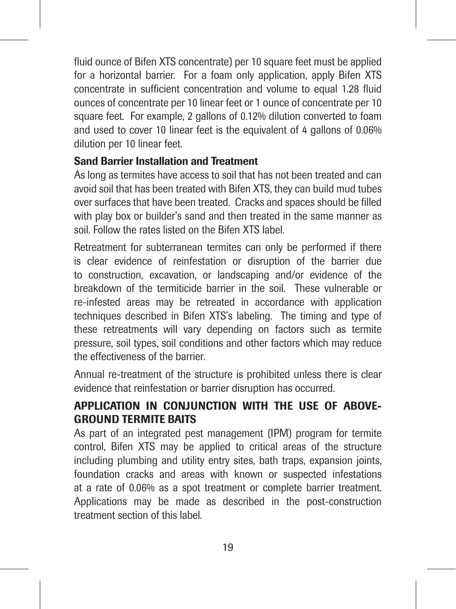fluid ounce of Bifen XTS concentrate) per 10 square feet must be applied for a horizontal barrier. For a foam only application, apply Bifen XTS concentrate in sufficient concentration and volume to equal 1.28 fluid ounces of concentrate per 10 linear feet or 1 ounce of concentrate per 10 square feet. For example, 2 gallons of 0.12% dilution converted to foam and used to cover 10 linear feet is the equivalent of 4 gallons of 0.06% dilution per 10 linear feet.

# Sand Barrier Installation and Treatment

As long as termites have access to soil that has not been treated and can avoid soil that has been treated with Bifen XTS, they can build mud tubes over surfaces that have been treated. Cracks and spaces should be filled with play box or builder's sand and then treated in the same manner as soil. Follow the rates listed on the Bifen XTS label.

Retreatment for subterranean termites can only be performed if there is clear evidence of reinfestation or disruption of the barrier due to construction, excavation, or landscaping and/or evidence of the breakdown of the termiticide barrier in the soil. These vulnerable or re-infested areas may be retreated in accordance with application techniques described in Bifen XTS's labeling. The timing and type of these retreatments will vary depending on factors such as termite pressure, soil types, soil conditions and other factors which may reduce the effectiveness of the barrier.

Annual re-treatment of the structure is prohibited unless there is clear evidence that reinfestation or barrier disruption has occurred.

# APPLICATION IN CONJUNCTION WITH THE USE OF ABOVE-GROUND TERMITE BAITS

As part of an integrated pest management (IPM) program for termite control, Bifen XTS may be applied to critical areas of the structure including plumbing and utility entry sites, bath traps, expansion joints, foundation cracks and areas with known or suspected infestations at a rate of 0.06% as a spot treatment or complete barrier treatment. Applications may be made as described in the post-construction treatment section of this label.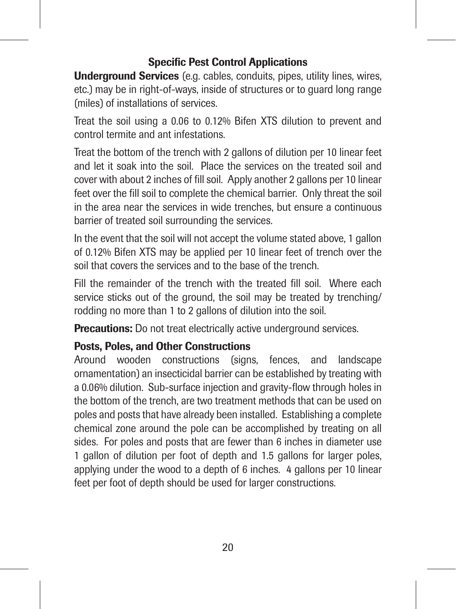# Specific Pest Control Applications

Underground Services (e.g. cables, conduits, pipes, utility lines, wires, etc.) may be in right-of-ways, inside of structures or to guard long range (miles) of installations of services.

Treat the soil using a 0.06 to 0.12% Bifen XTS dilution to prevent and control termite and ant infestations.

Treat the bottom of the trench with 2 gallons of dilution per 10 linear feet and let it soak into the soil. Place the services on the treated soil and cover with about 2 inches of fill soil. Apply another 2 gallons per 10 linear feet over the fill soil to complete the chemical barrier. Only threat the soil in the area near the services in wide trenches, but ensure a continuous barrier of treated soil surrounding the services.

In the event that the soil will not accept the volume stated above, 1 gallon of 0.12% Bifen XTS may be applied per 10 linear feet of trench over the soil that covers the services and to the base of the trench.

Fill the remainder of the trench with the treated fill soil. Where each service sticks out of the ground, the soil may be treated by trenching/ rodding no more than 1 to 2 gallons of dilution into the soil.

Precautions: Do not treat electrically active underground services.

# Posts, Poles, and Other Constructions

Around wooden constructions (signs, fences, and landscape ornamentation) an insecticidal barrier can be established by treating with a 0.06% dilution. Sub-surface injection and gravity-flow through holes in the bottom of the trench, are two treatment methods that can be used on poles and posts that have already been installed. Establishing a complete chemical zone around the pole can be accomplished by treating on all sides. For poles and posts that are fewer than 6 inches in diameter use 1 gallon of dilution per foot of depth and 1.5 gallons for larger poles, applying under the wood to a depth of 6 inches. 4 gallons per 10 linear feet per foot of depth should be used for larger constructions.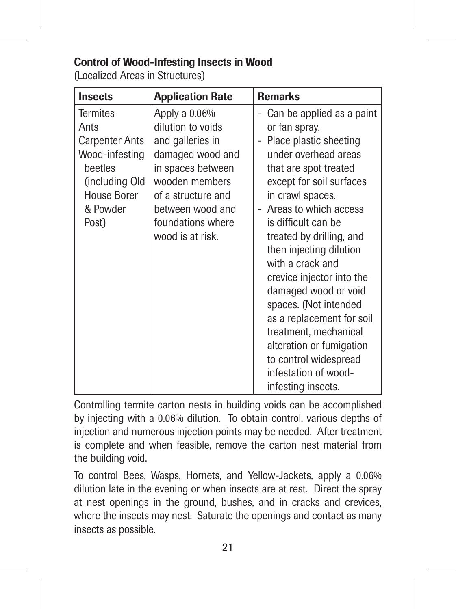# Control of Wood-Infesting Insects in Wood

(Localized Areas in Structures)

| <b>Insects</b>                                                                                                                      | <b>Application Rate</b>                                                                                                                                                                              | <b>Remarks</b>                                                                                                                                                                                                                                                                                                                                                                                                                                                                                                                          |
|-------------------------------------------------------------------------------------------------------------------------------------|------------------------------------------------------------------------------------------------------------------------------------------------------------------------------------------------------|-----------------------------------------------------------------------------------------------------------------------------------------------------------------------------------------------------------------------------------------------------------------------------------------------------------------------------------------------------------------------------------------------------------------------------------------------------------------------------------------------------------------------------------------|
| <b>Termites</b><br>Ants<br><b>Carpenter Ants</b><br>Wood-infesting<br>beetles<br>(including Old<br>House Borer<br>& Powder<br>Post) | Apply a 0.06%<br>dilution to voids<br>and galleries in<br>damaged wood and<br>in spaces between<br>wooden members<br>of a structure and<br>between wood and<br>foundations where<br>wood is at risk. | Can be applied as a paint<br>or fan spray.<br>Place plastic sheeting<br>under overhead areas<br>that are spot treated<br>except for soil surfaces<br>in crawl spaces.<br>Areas to which access<br>is difficult can be<br>treated by drilling, and<br>then injecting dilution<br>with a crack and<br>crevice injector into the<br>damaged wood or void<br>spaces. (Not intended<br>as a replacement for soil<br>treatment, mechanical<br>alteration or fumigation<br>to control widespread<br>infestation of wood-<br>infesting insects. |

Controlling termite carton nests in building voids can be accomplished by injecting with a 0.06% dilution. To obtain control, various depths of injection and numerous injection points may be needed. After treatment is complete and when feasible, remove the carton nest material from the building void.

To control Bees, Wasps, Hornets, and Yellow-Jackets, apply a 0.06% dilution late in the evening or when insects are at rest. Direct the spray at nest openings in the ground, bushes, and in cracks and crevices, where the insects may nest. Saturate the openings and contact as many insects as possible.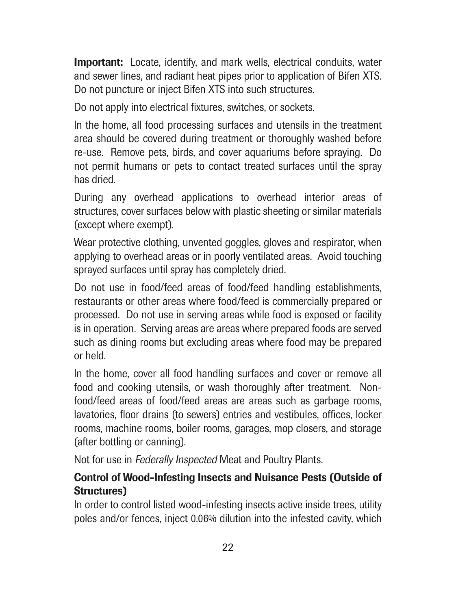**Important:** Locate, identify, and mark wells, electrical conduits, water and sewer lines, and radiant heat pipes prior to application of Bifen XTS. Do not puncture or inject Bifen XTS into such structures.

Do not apply into electrical fixtures, switches, or sockets.

In the home, all food processing surfaces and utensils in the treatment area should be covered during treatment or thoroughly washed before re-use. Remove pets, birds, and cover aquariums before spraying. Do not permit humans or pets to contact treated surfaces until the spray has dried.

During any overhead applications to overhead interior areas of structures, cover surfaces below with plastic sheeting or similar materials (except where exempt).

Wear protective clothing, unvented goggles, gloves and respirator, when applying to overhead areas or in poorly ventilated areas. Avoid touching sprayed surfaces until spray has completely dried.

Do not use in food/feed areas of food/feed handling establishments, restaurants or other areas where food/feed is commercially prepared or processed. Do not use in serving areas while food is exposed or facility is in operation. Serving areas are areas where prepared foods are served such as dining rooms but excluding areas where food may be prepared or held.

In the home, cover all food handling surfaces and cover or remove all food and cooking utensils, or wash thoroughly after treatment. Nonfood/feed areas of food/feed areas are areas such as garbage rooms. lavatories, floor drains (to sewers) entries and vestibules, offices, locker rooms, machine rooms, boiler rooms, garages, mop closers, and storage (after bottling or canning).

Not for use in Federally Inspected Meat and Poultry Plants.

# Control of Wood-Infesting Insects and Nuisance Pests (Outside of Structures)

In order to control listed wood-infesting insects active inside trees, utility poles and/or fences, inject 0.06% dilution into the infested cavity, which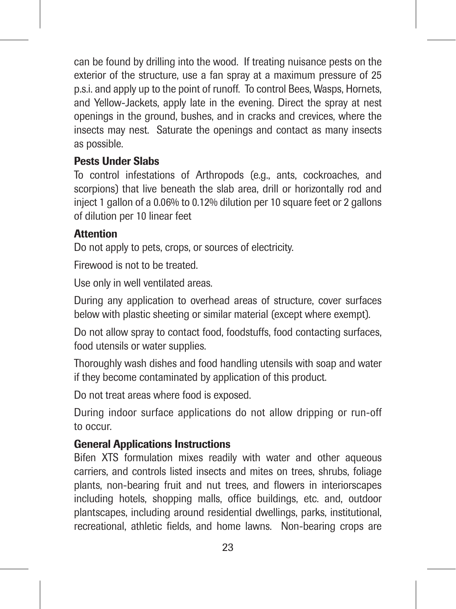can be found by drilling into the wood. If treating nuisance pests on the exterior of the structure, use a fan spray at a maximum pressure of 25 p.s.i. and apply up to the point of runoff. To control Bees, Wasps, Hornets, and Yellow-Jackets, apply late in the evening. Direct the spray at nest openings in the ground, bushes, and in cracks and crevices, where the insects may nest. Saturate the openings and contact as many insects as possible.

# Pests Under Slabs

To control infestations of Arthropods (e.g., ants, cockroaches, and scorpions) that live beneath the slab area, drill or horizontally rod and inject 1 gallon of a 0.06% to 0.12% dilution per 10 square feet or 2 gallons of dilution per 10 linear feet

# **Attention**

Do not apply to pets, crops, or sources of electricity.

Firewood is not to be treated.

Use only in well ventilated areas.

During any application to overhead areas of structure, cover surfaces below with plastic sheeting or similar material (except where exempt).

Do not allow spray to contact food, foodstuffs, food contacting surfaces, food utensils or water supplies.

Thoroughly wash dishes and food handling utensils with soap and water if they become contaminated by application of this product.

Do not treat areas where food is exposed.

During indoor surface applications do not allow dripping or run-off to occur.

# General Applications Instructions

Bifen XTS formulation mixes readily with water and other aqueous carriers, and controls listed insects and mites on trees, shrubs, foliage plants, non-bearing fruit and nut trees, and flowers in interiorscapes including hotels, shopping malls, office buildings, etc. and, outdoor plantscapes, including around residential dwellings, parks, institutional, recreational, athletic fields, and home lawns. Non-bearing crops are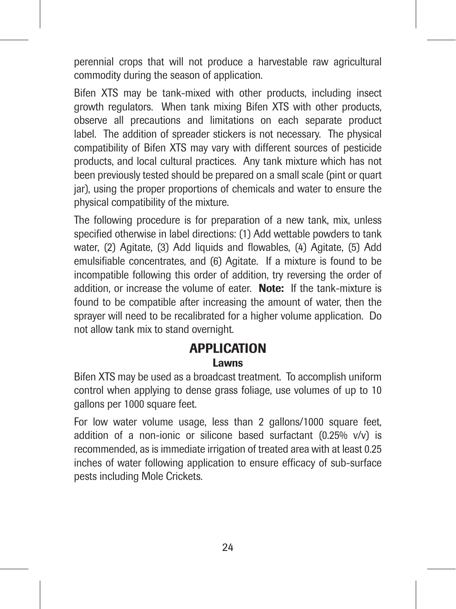perennial crops that will not produce a harvestable raw agricultural commodity during the season of application.

Bifen XTS may be tank-mixed with other products, including insect growth regulators. When tank mixing Bifen XTS with other products, observe all precautions and limitations on each separate product label. The addition of spreader stickers is not necessary. The physical compatibility of Bifen XTS may vary with different sources of pesticide products, and local cultural practices. Any tank mixture which has not been previously tested should be prepared on a small scale (pint or quart jar), using the proper proportions of chemicals and water to ensure the physical compatibility of the mixture.

The following procedure is for preparation of a new tank, mix, unless specified otherwise in label directions: (1) Add wettable powders to tank water, (2) Agitate, (3) Add liquids and flowables, (4) Agitate, (5) Add emulsifiable concentrates, and (6) Agitate. If a mixture is found to be incompatible following this order of addition, try reversing the order of addition, or increase the volume of eater. Note: If the tank-mixture is found to be compatible after increasing the amount of water, then the sprayer will need to be recalibrated for a higher volume application. Do not allow tank mix to stand overnight.

# **APPLICATION**

## **Lawns**

Bifen XTS may be used as a broadcast treatment. To accomplish uniform control when applying to dense grass foliage, use volumes of up to 10 gallons per 1000 square feet.

For low water volume usage, less than 2 gallons/1000 square feet, addition of a non-ionic or silicone based surfactant (0.25% v/v) is recommended, as is immediate irrigation of treated area with at least 0.25 inches of water following application to ensure efficacy of sub-surface pests including Mole Crickets.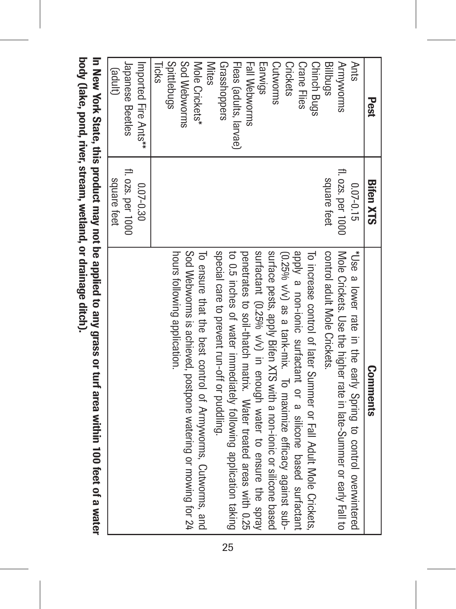| Ants<br>(anpe)<br>fl. ozs. per 1000<br>fl. ozs. per 1000<br>square teet<br>square feet<br>$0.07 - 0.30$<br>$0.07 - 0.15$<br>hours tollowing application.<br>control adult Mole Crickets.<br>"Use a lower rate in the early Spring to control overwintered | Pest                                                                                                                                                                                                                    | <b>Bifen XTS</b> | <b>Comments</b>                                                                                                                                                                                                                                                                                                                                                                                                                                                                                                                                                                                                                                         |
|-----------------------------------------------------------------------------------------------------------------------------------------------------------------------------------------------------------------------------------------------------------|-------------------------------------------------------------------------------------------------------------------------------------------------------------------------------------------------------------------------|------------------|---------------------------------------------------------------------------------------------------------------------------------------------------------------------------------------------------------------------------------------------------------------------------------------------------------------------------------------------------------------------------------------------------------------------------------------------------------------------------------------------------------------------------------------------------------------------------------------------------------------------------------------------------------|
|                                                                                                                                                                                                                                                           | <b>Armyworms</b><br>Billbugs                                                                                                                                                                                            |                  | Mole Crickets. Use the higher rate in late-Summer or early Fall to                                                                                                                                                                                                                                                                                                                                                                                                                                                                                                                                                                                      |
|                                                                                                                                                                                                                                                           | Spittlebugs<br>Sod Webworms<br>Grasshoppers<br>Fall Webworms<br>Earwigs<br>Cutworms<br><b>Crane Flies</b><br><b>Chinch Bugs</b><br><b>Mites</b><br><b>Crickets</b><br>Mole Crickets*<br>Fleas (adults, larvae)<br>Ticks |                  | Sod Webworms is achieved, postpone watering or mowing tor 24<br>special care to prevent run-off or puddling.<br>surfactant (0.25% v/y) in enough water to ensure the spray<br>surface pests, apply Bifen XTS with a non-ionic or silicone based<br>apply a non-ionic surfactant or a silicone based surfactant<br>to 0.5 inches of water immediately following application taking<br>To increase control of later Summer or Fall Adult Mole Crickets,<br>To ensure that the best control of Armyworms, Cutworms, and<br>penetrates to soil-thatch matrix. Water treated areas with 0.25<br>(0.25% v/v) as a tank-mix. To maximize efficacy against sub- |
|                                                                                                                                                                                                                                                           | Imported Fire Ants**<br>Japanese Beetles                                                                                                                                                                                |                  |                                                                                                                                                                                                                                                                                                                                                                                                                                                                                                                                                                                                                                                         |

In New York State, this product may not be applied to any grass or turf area within 100 feet of a water<br>body (lake, pond, river, stream, wedand, or drainage ditch). body (lake, pond, river, stream, wetland, or drainage ditch).In New York State, this product may not be applied to any grass or turf area within 100 feet of a water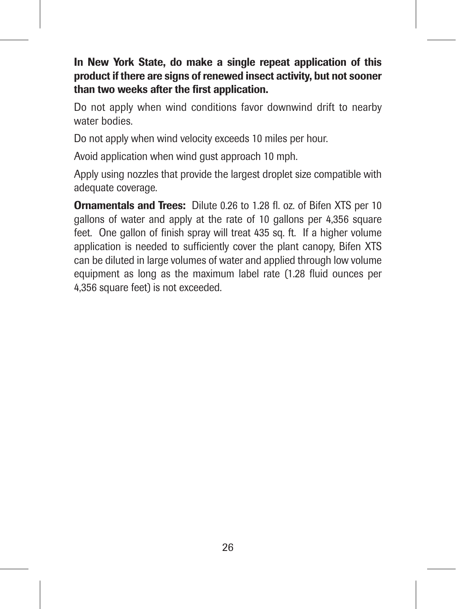# In New York State, do make a single repeat application of this product if there are signs of renewed insect activity, but not sooner than two weeks after the first application.

Do not apply when wind conditions favor downwind drift to nearby water bodies.

Do not apply when wind velocity exceeds 10 miles per hour.

Avoid application when wind gust approach 10 mph.

Apply using nozzles that provide the largest droplet size compatible with adequate coverage.

Ornamentals and Trees: Dilute 0.26 to 1.28 fl. oz. of Bifen XTS per 10 gallons of water and apply at the rate of 10 gallons per 4,356 square feet. One gallon of finish spray will treat 435 sq. ft. If a higher volume application is needed to sufficiently cover the plant canopy, Bifen XTS can be diluted in large volumes of water and applied through low volume equipment as long as the maximum label rate (1.28 fluid ounces per 4,356 square feet) is not exceeded.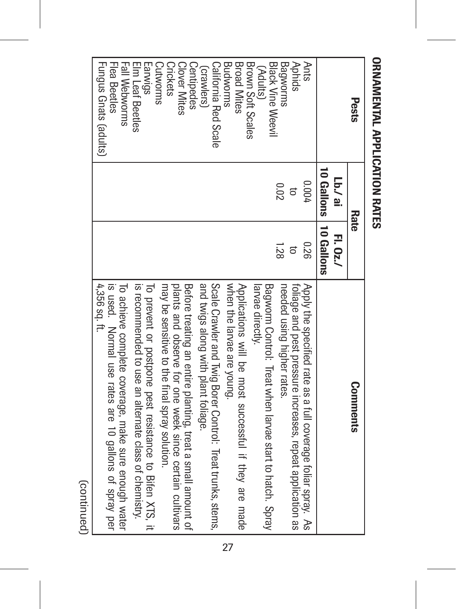| Pests                                                      | Kate                    |         | <b>Comments</b>                                                                                                        |
|------------------------------------------------------------|-------------------------|---------|------------------------------------------------------------------------------------------------------------------------|
|                                                            | in \ai                  | H. 0z./ |                                                                                                                        |
|                                                            | 10 Gallons   10 Gallons |         |                                                                                                                        |
| <b>Ants</b>                                                | 7000                    | 0.26    | Apply the specified rate as a full coverage foliar spray. As                                                           |
| <b>Aphids</b>                                              | đ                       |         | foliage and pest pressure increases, repeat application as                                                             |
| Bagworms                                                   | Z0°0                    | 1.28    | needed using higher rates.                                                                                             |
| <b>Black Vine Weevil</b><br>(Adults)                       |                         |         | Bagworm Control: Treat when larvae start to hatch. Spray<br>larvae directiy.                                           |
| <b>Broad Mites</b><br>Brown Soft Scales<br><b>Budworms</b> |                         |         | Applications will be most successful if they are made<br>when the larvae are young.                                    |
| California Red Scale                                       |                         |         | Scale Crawler and Twig Borer Control: Treat trunks, stems,                                                             |
| Centipedes<br>crawlers)                                    |                         |         | and twigs along with plant foliage.                                                                                    |
| <b>Clover Mites</b>                                        |                         |         | plants and observe for one week since certain cultivars<br>Before treating an entire planting, treat a small amount of |
| Crickets<br><b>Cutworms</b>                                |                         |         | may be sensitive to the final spray solution.                                                                          |
| Earwigs                                                    |                         |         | To prevent or postpone pest resistance to Bifen XTS, it                                                                |
| Elm Leaf Beetles<br>Fall Webworms                          |                         |         | is recommended to use an alternate class of chemistry.                                                                 |
|                                                            |                         |         | To achieve complete coverage, make sure enough water                                                                   |
| Flea Beetles                                               |                         |         | is used. Normal use rates are 10 gallons of spray per                                                                  |
| Fungus Gnats (adults)                                      |                         |         | 4,356 sq. tt.                                                                                                          |

# **ORNAMENTAL APPLICATION RATES** ORNAMENTAL APPLICATION RATES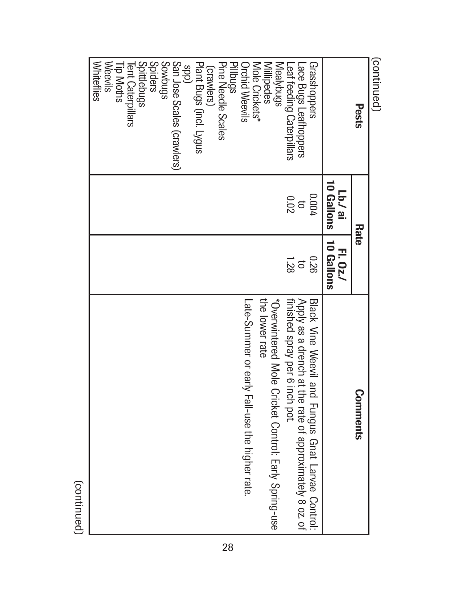| continued)                                         |              |                                           |                                                                                          |
|----------------------------------------------------|--------------|-------------------------------------------|------------------------------------------------------------------------------------------|
| Pests                                              | Rate         |                                           | <b>Comments</b>                                                                          |
|                                                    | Lb./ ai      | 10 Gallons   10 Gallons<br><b>FL.0z./</b> |                                                                                          |
| Grasshoppers                                       | 0.004        | 0.26                                      | Black Vine Weevil and Fungus Gnat Larvae Control:                                        |
| Leaf feeding Caterpillars<br>Lace Bugs Leafhoppers | 200<br>$\Xi$ | 1.28<br>$\overline{a}$                    | Apply as a drench at the rate of approximately 8 oz. of<br>finished spray per 6 inch pot |
| Mealybugs                                          |              |                                           | *Overwittered Mole Cricket Control: Early Spring-use                                     |
| <b>Millipedes</b>                                  |              |                                           | the lower rate                                                                           |
| Mole Crickets*                                     |              |                                           |                                                                                          |
| <b>Orchid Weevils</b>                              |              |                                           | Late-Summer or early Fall-use the higher rate.                                           |
| Pillbugs<br>Pillbugs                               |              |                                           |                                                                                          |
| (crawlers)                                         |              |                                           |                                                                                          |
| Plant Bugs (incl. Lygus                            |              |                                           |                                                                                          |
| (dds                                               |              |                                           |                                                                                          |
| San Jose Scales (crawlers)                         |              |                                           |                                                                                          |
| Spiders<br>Spudungs                                |              |                                           |                                                                                          |
| Spittlebugs                                        |              |                                           |                                                                                          |
| Tent Caterpillars                                  |              |                                           |                                                                                          |
| Tip Moths                                          |              |                                           |                                                                                          |
| <b>Weevils</b>                                     |              |                                           |                                                                                          |
| <b>Whiteflies</b>                                  |              |                                           |                                                                                          |

(continued) (continued)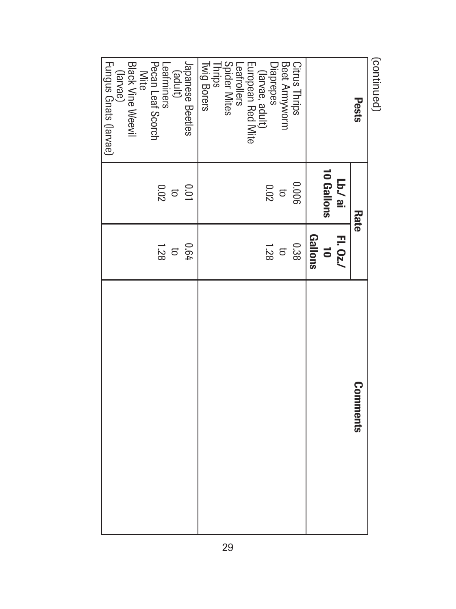| (continued)                                         |                    |                      |                 |
|-----------------------------------------------------|--------------------|----------------------|-----------------|
| Pests                                               | Rate               |                      | <b>Comments</b> |
|                                                     | in \ai             | H. 0z./              |                 |
|                                                     | 10 Gallons         | $\ddot{\phantom{a}}$ |                 |
|                                                     |                    | Gallons              |                 |
| Citrus Thrips                                       | 900°0              | 0.38                 |                 |
| Beet Armyworm                                       |                    |                      |                 |
| Diaprepes<br>_ (larvae, adult)<br>_ (larvae, adult) | $\frac{10}{20}$    | $\frac{1.28}{2}$     |                 |
| European Red Mite<br>Leafrollers                    |                    |                      |                 |
| Spider Mites<br>Thrips                              |                    |                      |                 |
| Twig Borers                                         |                    |                      |                 |
| Japanese Beetles                                    | 0.01               | 190                  |                 |
|                                                     | $\overline{\circ}$ | $\Xi$                |                 |
| (adult)<br>Leafminers<br>Pecan Leaf Scorch          | <b>200</b>         | 1.28                 |                 |
| Mite                                                |                    |                      |                 |
| <b>Black Vine Weevil</b>                            |                    |                      |                 |
|                                                     |                    |                      |                 |
| (larvae)<br>Fungus Gnats (larvae)                   |                    |                      |                 |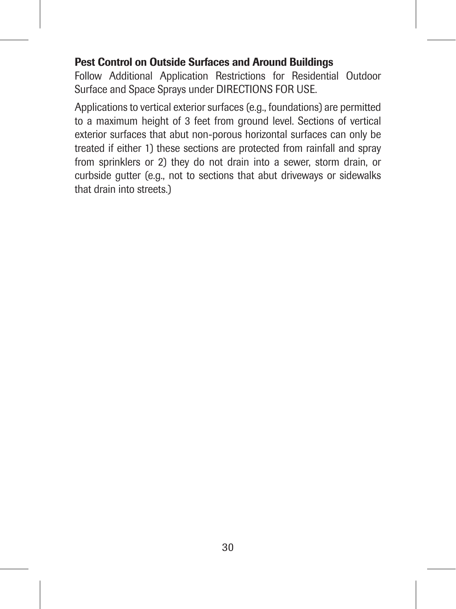# Pest Control on Outside Surfaces and Around Buildings

Follow Additional Application Restrictions for Residential Outdoor Surface and Space Sprays under DIRECTIONS FOR USE.

Applications to vertical exterior surfaces (e.g., foundations) are permitted to a maximum height of 3 feet from ground level. Sections of vertical exterior surfaces that abut non-porous horizontal surfaces can only be treated if either 1) these sections are protected from rainfall and spray from sprinklers or 2) they do not drain into a sewer, storm drain, or curbside gutter (e.g., not to sections that abut driveways or sidewalks that drain into streets.)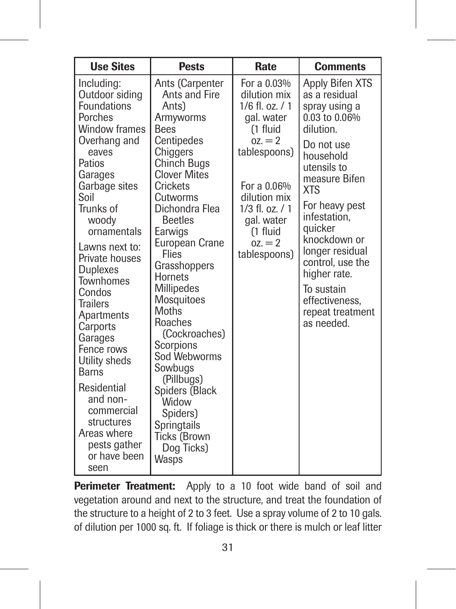| <b>Use Sites</b>                                                                                                                                                                                                                                                                                                                                                                                                                                                                              | <b>Pests</b>                                                                                                                                                                                                                                                                                                                                                                                                                                                                                  | Rate                                                                                                                                                                                                                 | <b>Comments</b>                                                                                                                                                                                                                                                                                                                                    |
|-----------------------------------------------------------------------------------------------------------------------------------------------------------------------------------------------------------------------------------------------------------------------------------------------------------------------------------------------------------------------------------------------------------------------------------------------------------------------------------------------|-----------------------------------------------------------------------------------------------------------------------------------------------------------------------------------------------------------------------------------------------------------------------------------------------------------------------------------------------------------------------------------------------------------------------------------------------------------------------------------------------|----------------------------------------------------------------------------------------------------------------------------------------------------------------------------------------------------------------------|----------------------------------------------------------------------------------------------------------------------------------------------------------------------------------------------------------------------------------------------------------------------------------------------------------------------------------------------------|
| Including:<br>Outdoor siding<br><b>Foundations</b><br>Porches<br>Window frames<br>Overhang and<br>eaves<br>Patios<br>Garages<br>Garbage sites<br>Soil<br>Trunks of<br>woodv<br>ornamentals<br>Lawns next to:<br>Private houses<br><b>Duplexes</b><br>Townhomes<br>Condos<br><b>Trailers</b><br>Apartments<br>Carports<br>Garages<br>Fence rows<br>Utility sheds<br><b>Barns</b><br>Residential<br>and non-<br>commercial<br>structures<br>Areas where<br>pests gather<br>or have been<br>seen | Ants (Carpenter<br>Ants and Fire<br>Ants)<br>Armyworms<br><b>Bees</b><br>Centipedes<br>Chiggers<br>Chinch Bugs<br><b>Clover Mites</b><br>Crickets<br>Cutworms<br>Dichondra Flea<br><b>Beetles</b><br>Earwigs<br>European Crane<br>Flies<br>Grasshoppers<br>Hornets<br>Millipedes<br>Mosquitoes<br>Moths<br>Roaches<br>(Cockroaches)<br>Scorpions<br>Sod Webworms<br>Sowbugs<br>(Pillbugs)<br>Spiders (Black<br>Widow<br>Spiders)<br>Springtails<br><b>Ticks (Brown</b><br>Dog Ticks)<br>Wasps | For a 0.03%<br>dilution mix<br>$1/6$ fl. oz. $/1$<br>gal, water<br>(1 fluid<br>$07. = 2$<br>tablespoons)<br>For a 0.06%<br>dilution mix<br>$1/3$ fl. oz. $/1$<br>gal, water<br>(1 fluid<br>$07. = 2$<br>tablespoons) | Apply Bifen XTS<br>as a residual<br>spray using a<br>$0.03$ to $0.06%$<br>dilution.<br>Do not use<br>household<br>utensils to<br>measure Bifen<br><b>XTS</b><br>For heavy pest<br>infestation,<br>auicker<br>knockdown or<br>longer residual<br>control, use the<br>higher rate.<br>To sustain<br>effectiveness.<br>repeat treatment<br>as needed. |

Perimeter Treatment: Apply to a 10 foot wide band of soil and vegetation around and next to the structure, and treat the foundation of the structure to a height of 2 to 3 feet. Use a spray volume of 2 to 10 gals. of dilution per 1000 sq. ft. If foliage is thick or there is mulch or leaf litter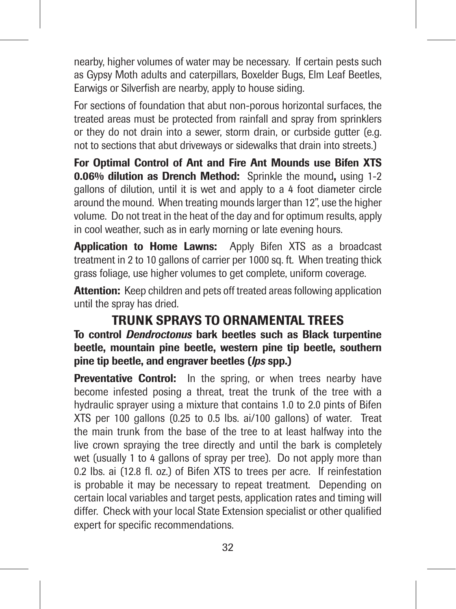nearby, higher volumes of water may be necessary. If certain pests such as Gypsy Moth adults and caterpillars, Boxelder Bugs, Elm Leaf Beetles, Earwigs or Silverfish are nearby, apply to house siding.

For sections of foundation that abut non-porous horizontal surfaces, the treated areas must be protected from rainfall and spray from sprinklers or they do not drain into a sewer, storm drain, or curbside gutter (e.g. not to sections that abut driveways or sidewalks that drain into streets.)

For Optimal Control of Ant and Fire Ant Mounds use Bifen XTS 0.06% dilution as Drench Method: Sprinkle the mound, using 1-2 gallons of dilution, until it is wet and apply to a 4 foot diameter circle around the mound. When treating mounds larger than 12", use the higher volume. Do not treat in the heat of the day and for optimum results, apply in cool weather, such as in early morning or late evening hours.

Application to Home Lawns: Apply Bifen XTS as a broadcast treatment in 2 to 10 gallons of carrier per 1000 sq. ft. When treating thick grass foliage, use higher volumes to get complete, uniform coverage.

Attention: Keep children and pets off treated areas following application until the spray has dried.

# TRUNK SPRAYS TO ORNAMENTAL TREES

To control *Dendroctonus* bark beetles such as Black turpentine beetle, mountain pine beetle, western pine tip beetle, southern pine tip beetle, and engraver beetles (*lps* spp.)

Preventative Control: In the spring, or when trees nearby have become infested posing a threat, treat the trunk of the tree with a hydraulic sprayer using a mixture that contains 1.0 to 2.0 pints of Bifen XTS per 100 gallons (0.25 to 0.5 lbs. ai/100 gallons) of water. Treat the main trunk from the base of the tree to at least halfway into the live crown spraying the tree directly and until the bark is completely wet (usually 1 to 4 gallons of spray per tree). Do not apply more than 0.2 lbs. ai (12.8 fl. oz.) of Bifen XTS to trees per acre. If reinfestation is probable it may be necessary to repeat treatment. Depending on certain local variables and target pests, application rates and timing will differ. Check with your local State Extension specialist or other qualified expert for specific recommendations.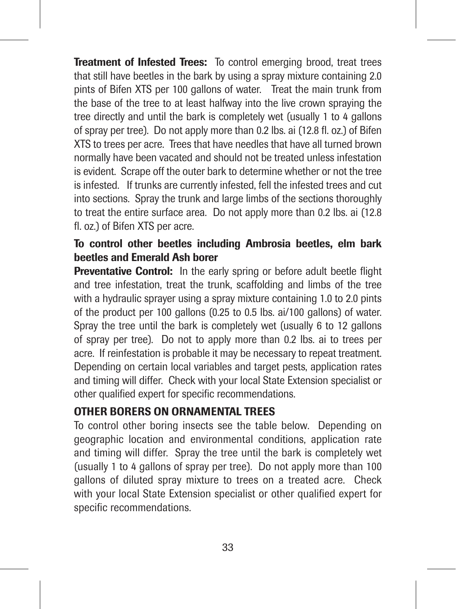Treatment of Infested Trees: To control emerging brood, treat trees that still have beetles in the bark by using a spray mixture containing 2.0 pints of Bifen XTS per 100 gallons of water. Treat the main trunk from the base of the tree to at least halfway into the live crown spraying the tree directly and until the bark is completely wet (usually 1 to 4 gallons of spray per tree). Do not apply more than 0.2 lbs. ai (12.8 fl. oz.) of Bifen XTS to trees per acre. Trees that have needles that have all turned brown normally have been vacated and should not be treated unless infestation is evident. Scrape off the outer bark to determine whether or not the tree is infested. If trunks are currently infested, fell the infested trees and cut into sections. Spray the trunk and large limbs of the sections thoroughly to treat the entire surface area. Do not apply more than 0.2 lbs. ai (12.8 fl. oz.) of Bifen XTS per acre.

# To control other beetles including Ambrosia beetles, elm bark beetles and Emerald Ash borer

Preventative Control: In the early spring or before adult beetle flight and tree infestation, treat the trunk, scaffolding and limbs of the tree with a hydraulic sprayer using a spray mixture containing 1.0 to 2.0 pints of the product per 100 gallons (0.25 to 0.5 lbs. ai/100 gallons) of water. Spray the tree until the bark is completely wet (usually 6 to 12 gallons of spray per tree). Do not to apply more than 0.2 lbs. ai to trees per acre. If reinfestation is probable it may be necessary to repeat treatment. Depending on certain local variables and target pests, application rates and timing will differ. Check with your local State Extension specialist or other qualified expert for specific recommendations.

# OTHER BORERS ON ORNAMENTAL TREES

To control other boring insects see the table below. Depending on geographic location and environmental conditions, application rate and timing will differ. Spray the tree until the bark is completely wet (usually 1 to 4 gallons of spray per tree). Do not apply more than 100 gallons of diluted spray mixture to trees on a treated acre. Check with your local State Extension specialist or other qualified expert for specific recommendations.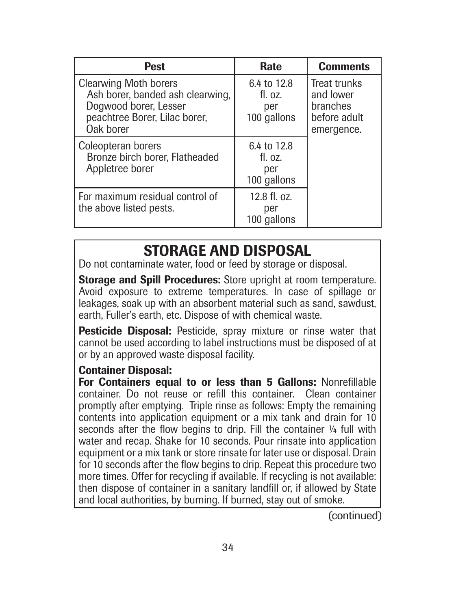| Pest                                                                                                                                    | Rate                                             | <b>Comments</b>                                                            |
|-----------------------------------------------------------------------------------------------------------------------------------------|--------------------------------------------------|----------------------------------------------------------------------------|
| <b>Clearwing Moth borers</b><br>Ash borer, banded ash clearwing,<br>Dogwood borer, Lesser<br>peachtree Borer, Lilac borer,<br>Oak borer | 6.4 to 12.8<br>$fl.$ $07.$<br>per<br>100 gallons | <b>Treat trunks</b><br>and lower<br>branches<br>before adult<br>emergence. |
| Coleopteran borers<br>Bronze birch borer, Flatheaded<br>Appletree borer                                                                 | 6.4 to 12.8<br>$fl.$ $07.$<br>per<br>100 gallons |                                                                            |
| For maximum residual control of<br>the above listed pests.                                                                              | 12.8 fl. oz.<br>per<br>100 gallons               |                                                                            |

# STORAGE AND DISPOSAL

Do not contaminate water, food or feed by storage or disposal.

Storage and Spill Procedures: Store upright at room temperature. Avoid exposure to extreme temperatures. In case of spillage or leakages, soak up with an absorbent material such as sand, sawdust, earth, Fuller's earth, etc. Dispose of with chemical waste.

Pesticide Disposal: Pesticide, spray mixture or rinse water that cannot be used according to label instructions must be disposed of at or by an approved waste disposal facility.

## Container Disposal:

For Containers equal to or less than 5 Gallons: Nonrefillable container. Do not reuse or refill this container. Clean container promptly after emptying. Triple rinse as follows: Empty the remaining contents into application equipment or a mix tank and drain for 10 seconds after the flow begins to drip. Fill the container  $V_4$  full with water and recap. Shake for 10 seconds. Pour rinsate into application equipment or a mix tank or store rinsate for later use or disposal. Drain for 10 seconds after the flow begins to drip. Repeat this procedure two more times. Offer for recycling if available. If recycling is not available: then dispose of container in a sanitary landfill or, if allowed by State and local authorities, by burning. If burned, stay out of smoke.

(continued)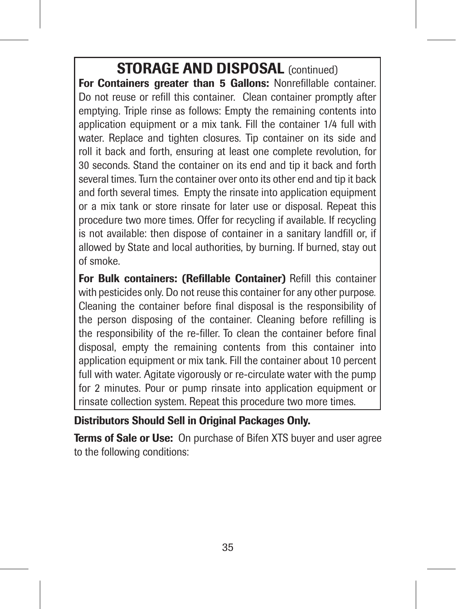STORAGE AND DISPOSAL (continued)

For Containers greater than 5 Gallons: Nonrefillable container. Do not reuse or refill this container. Clean container promptly after emptying. Triple rinse as follows: Empty the remaining contents into application equipment or a mix tank. Fill the container 1/4 full with water. Replace and tighten closures. Tip container on its side and roll it back and forth, ensuring at least one complete revolution, for 30 seconds. Stand the container on its end and tip it back and forth several times. Turn the container over onto its other end and tip it back and forth several times. Empty the rinsate into application equipment or a mix tank or store rinsate for later use or disposal. Repeat this procedure two more times. Offer for recycling if available. If recycling is not available: then dispose of container in a sanitary landfill or, if allowed by State and local authorities, by burning. If burned, stay out of smoke.

For Bulk containers: (Refillable Container) Refill this container with pesticides only. Do not reuse this container for any other purpose*.* Cleaning the container before final disposal is the responsibility of the person disposing of the container. Cleaning before refilling is the responsibility of the re-filler. To clean the container before final disposal, empty the remaining contents from this container into application equipment or mix tank. Fill the container about 10 percent full with water. Agitate vigorously or re-circulate water with the pump for 2 minutes. Pour or pump rinsate into application equipment or rinsate collection system. Repeat this procedure two more times.

Distributors Should Sell in Original Packages Only.

Terms of Sale or Use: On purchase of Bifen XTS buyer and user agree to the following conditions: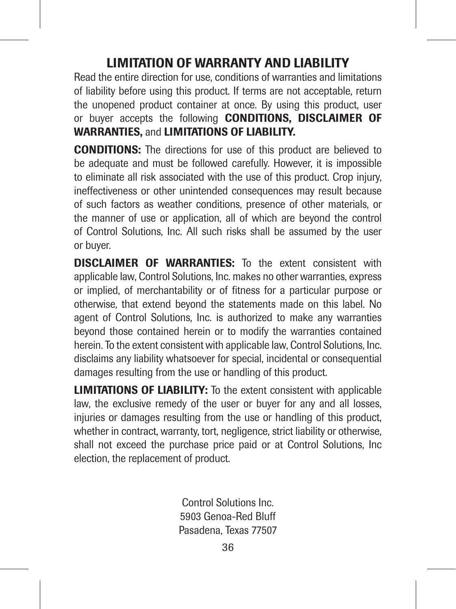# LIMITATION OF WARRANTY AND LIABILITY

Read the entire direction for use, conditions of warranties and limitations of liability before using this product. If terms are not acceptable, return the unopened product container at once. By using this product, user or buver accepts the following **CONDITIONS**, DISCLAIMER OF WARRANTIES, and LIMITATIONS OF LIABILITY.

CONDITIONS: The directions for use of this product are believed to be adequate and must be followed carefully. However, it is impossible to eliminate all risk associated with the use of this product. Crop injury, ineffectiveness or other unintended consequences may result because of such factors as weather conditions, presence of other materials, or the manner of use or application, all of which are beyond the control of Control Solutions, Inc. All such risks shall be assumed by the user or buyer.

DISCLAIMER OF WARRANTIES: To the extent consistent with applicable law, Control Solutions, Inc. makes no other warranties, express or implied, of merchantability or of fitness for a particular purpose or otherwise, that extend beyond the statements made on this label. No agent of Control Solutions, Inc. is authorized to make any warranties beyond those contained herein or to modify the warranties contained herein. To the extent consistent with applicable law, Control Solutions, Inc. disclaims any liability whatsoever for special, incidental or consequential damages resulting from the use or handling of this product.

LIMITATIONS OF LIABILITY: To the extent consistent with applicable law, the exclusive remedy of the user or buyer for any and all losses, injuries or damages resulting from the use or handling of this product. whether in contract, warranty, tort, negligence, strict liability or otherwise, shall not exceed the purchase price paid or at Control Solutions, Inc election, the replacement of product.

> Control Solutions Inc. 5903 Genoa-Red Bluff Pasadena, Texas 77507